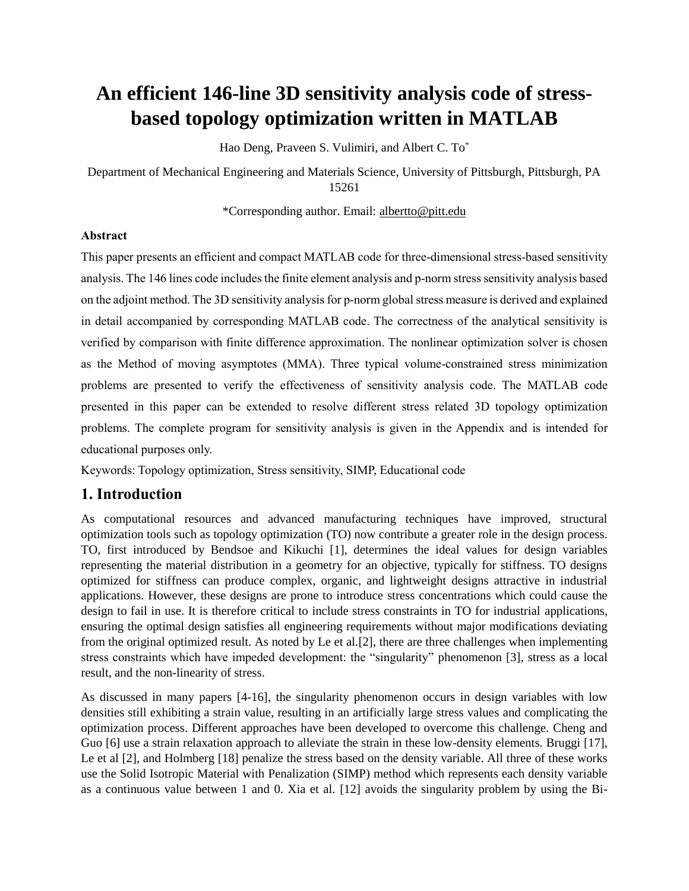# **An efficient 146-line 3D sensitivity analysis code of stressbased topology optimization written in MATLAB**

Hao Deng, Praveen S. Vulimiri, and Albert C. To\*

Department of Mechanical Engineering and Materials Science, University of Pittsburgh, Pittsburgh, PA 15261

\*Corresponding author. Email: [albertto@pitt.edu](mailto:albertto@pitt.edu)

## **Abstract**

This paper presents an efficient and compact MATLAB code for three-dimensional stress-based sensitivity analysis. The 146 lines code includes the finite element analysis and p-norm stress sensitivity analysis based on the adjoint method. The 3D sensitivity analysis for p-norm global stress measure is derived and explained in detail accompanied by corresponding MATLAB code. The correctness of the analytical sensitivity is verified by comparison with finite difference approximation. The nonlinear optimization solver is chosen as the Method of moving asymptotes (MMA). Three typical volume-constrained stress minimization problems are presented to verify the effectiveness of sensitivity analysis code. The MATLAB code presented in this paper can be extended to resolve different stress related 3D topology optimization problems. The complete program for sensitivity analysis is given in the Appendix and is intended for educational purposes only.

Keywords: Topology optimization, Stress sensitivity, SIMP, Educational code

# **1. Introduction**

As computational resources and advanced manufacturing techniques have improved, structural optimization tools such as topology optimization (TO) now contribute a greater role in the design process. TO, first introduced by Bendsoe and Kikuchi [1], determines the ideal values for design variables representing the material distribution in a geometry for an objective, typically for stiffness. TO designs optimized for stiffness can produce complex, organic, and lightweight designs attractive in industrial applications. However, these designs are prone to introduce stress concentrations which could cause the design to fail in use. It is therefore critical to include stress constraints in TO for industrial applications, ensuring the optimal design satisfies all engineering requirements without major modifications deviating from the original optimized result. As noted by Le et al.[2], there are three challenges when implementing stress constraints which have impeded development: the "singularity" phenomenon [3], stress as a local result, and the non-linearity of stress.

As discussed in many papers [4-16], the singularity phenomenon occurs in design variables with low densities still exhibiting a strain value, resulting in an artificially large stress values and complicating the optimization process. Different approaches have been developed to overcome this challenge. Cheng and Guo [6] use a strain relaxation approach to alleviate the strain in these low-density elements. Bruggi [17], Le et al [2], and Holmberg [18] penalize the stress based on the density variable. All three of these works use the Solid Isotropic Material with Penalization (SIMP) method which represents each density variable as a continuous value between 1 and 0. Xia et al. [12] avoids the singularity problem by using the Bi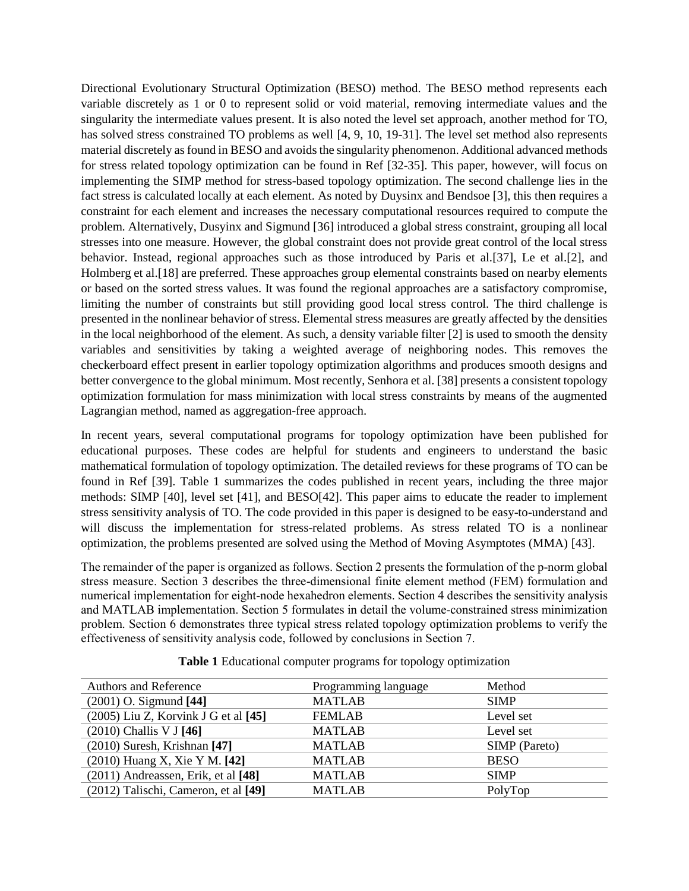Directional Evolutionary Structural Optimization (BESO) method. The BESO method represents each variable discretely as 1 or 0 to represent solid or void material, removing intermediate values and the singularity the intermediate values present. It is also noted the level set approach, another method for TO, has solved stress constrained TO problems as well [4, 9, 10, 19-31]. The level set method also represents material discretely as found in BESO and avoids the singularity phenomenon. Additional advanced methods for stress related topology optimization can be found in Ref [32-35]. This paper, however, will focus on implementing the SIMP method for stress-based topology optimization. The second challenge lies in the fact stress is calculated locally at each element. As noted by Duysinx and Bendsoe [3], this then requires a constraint for each element and increases the necessary computational resources required to compute the problem. Alternatively, Dusyinx and Sigmund [36] introduced a global stress constraint, grouping all local stresses into one measure. However, the global constraint does not provide great control of the local stress behavior. Instead, regional approaches such as those introduced by Paris et al.[37], Le et al.[2], and Holmberg et al.[18] are preferred. These approaches group elemental constraints based on nearby elements or based on the sorted stress values. It was found the regional approaches are a satisfactory compromise, limiting the number of constraints but still providing good local stress control. The third challenge is presented in the nonlinear behavior of stress. Elemental stress measures are greatly affected by the densities in the local neighborhood of the element. As such, a density variable filter [2] is used to smooth the density variables and sensitivities by taking a weighted average of neighboring nodes. This removes the checkerboard effect present in earlier topology optimization algorithms and produces smooth designs and better convergence to the global minimum. Most recently, Senhora et al. [38] presents a consistent topology optimization formulation for mass minimization with local stress constraints by means of the augmented Lagrangian method, named as aggregation-free approach.

In recent years, several computational programs for topology optimization have been published for educational purposes. These codes are helpful for students and engineers to understand the basic mathematical formulation of topology optimization. The detailed reviews for these programs of TO can be found in Ref [39]. Table 1 summarizes the codes published in recent years, including the three major methods: SIMP [40], level set [41], and BESO[42]. This paper aims to educate the reader to implement stress sensitivity analysis of TO. The code provided in this paper is designed to be easy-to-understand and will discuss the implementation for stress-related problems. As stress related TO is a nonlinear optimization, the problems presented are solved using the Method of Moving Asymptotes (MMA) [43].

The remainder of the paper is organized as follows. Section 2 presents the formulation of the p-norm global stress measure. Section 3 describes the three-dimensional finite element method (FEM) formulation and numerical implementation for eight-node hexahedron elements. Section 4 describes the sensitivity analysis and MATLAB implementation. Section 5 formulates in detail the volume-constrained stress minimization problem. Section 6 demonstrates three typical stress related topology optimization problems to verify the effectiveness of sensitivity analysis code, followed by conclusions in Section 7.

| <b>Authors and Reference</b>             | Programming language | Method        |
|------------------------------------------|----------------------|---------------|
| $(2001)$ O. Sigmund [44]                 | <b>MATLAB</b>        | <b>SIMP</b>   |
| $(2005)$ Liu Z, Korvink J G et al $[45]$ | <b>FEMLAB</b>        | Level set     |
| $(2010)$ Challis V J [46]                | <b>MATLAB</b>        | Level set     |
| $(2010)$ Suresh, Krishnan [47]           | <b>MATLAB</b>        | SIMP (Pareto) |
| (2010) Huang X, Xie Y M. [42]            | <b>MATLAB</b>        | <b>BESO</b>   |
| $(2011)$ Andreassen, Erik, et al $[48]$  | <b>MATLAB</b>        | <b>SIMP</b>   |
| (2012) Talischi, Cameron, et al [49]     | <b>MATLAB</b>        | PolyTop       |

**Table 1** Educational computer programs for topology optimization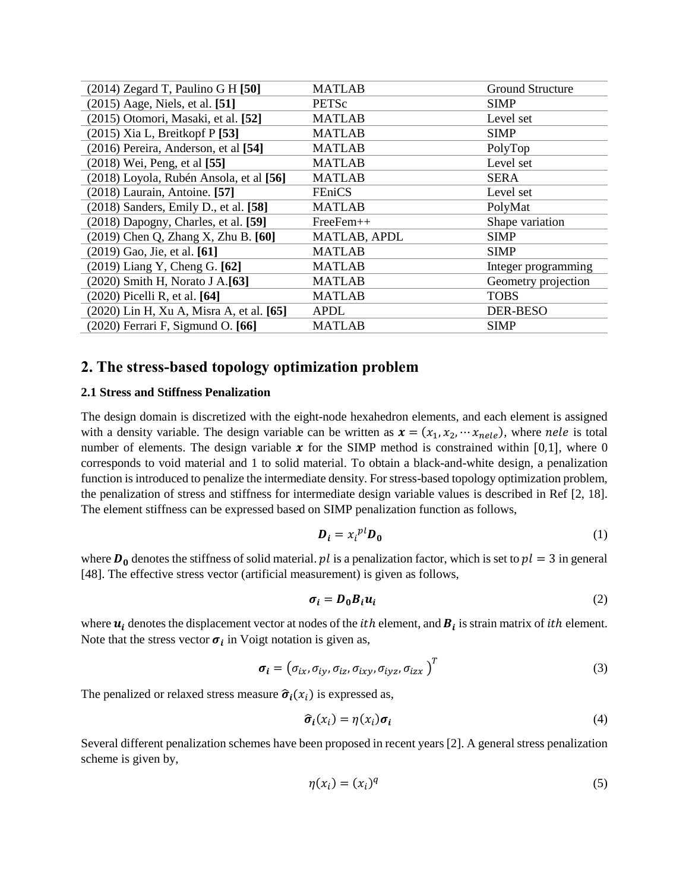| $(2014)$ Zegard T, Paulino G H [50]         | <b>MATLAB</b> | <b>Ground Structure</b> |
|---------------------------------------------|---------------|-------------------------|
| $(2015)$ Aage, Niels, et al. [51]           | <b>PETSc</b>  | <b>SIMP</b>             |
| $(2015)$ Otomori, Masaki, et al. [52]       | <b>MATLAB</b> | Level set               |
| $(2015)$ Xia L, Breitkopf P [53]            | <b>MATLAB</b> | <b>SIMP</b>             |
| $(2016)$ Pereira, Anderson, et al [54]      | <b>MATLAB</b> | PolyTop                 |
| $(2018)$ Wei, Peng, et al $[55]$            | <b>MATLAB</b> | Level set               |
| (2018) Loyola, Rubén Ansola, et al [56]     | <b>MATLAB</b> | <b>SERA</b>             |
| $(2018)$ Laurain, Antoine. [57]             | <b>FEniCS</b> | Level set               |
| $(2018)$ Sanders, Emily D., et al. [58]     | <b>MATLAB</b> | PolyMat                 |
| $(2018)$ Dapogny, Charles, et al. [59]      | $FreeFem++$   | Shape variation         |
| (2019) Chen Q, Zhang X, Zhu B. [60]         | MATLAB, APDL  | <b>SIMP</b>             |
| $(2019)$ Gao, Jie, et al. [61]              | <b>MATLAB</b> | <b>SIMP</b>             |
| $(2019)$ Liang Y, Cheng G. [62]             | <b>MATLAB</b> | Integer programming     |
| (2020) Smith H, Norato J A. <sup>[63]</sup> | MATLAB        | Geometry projection     |
| $(2020)$ Picelli R, et al. [64]             | <b>MATLAB</b> | <b>TOBS</b>             |
| (2020) Lin H, Xu A, Misra A, et al. [65]    | <b>APDL</b>   | <b>DER-BESO</b>         |
| $(2020)$ Ferrari F, Sigmund O. [66]         | <b>MATLAB</b> | <b>SIMP</b>             |

# **2. The stress-based topology optimization problem**

#### **2.1 Stress and Stiffness Penalization**

The design domain is discretized with the eight-node hexahedron elements, and each element is assigned with a density variable. The design variable can be written as  $x = (x_1, x_2, \dots, x_{nele})$ , where *nele* is total number of elements. The design variable  $\boldsymbol{\chi}$  for the SIMP method is constrained within [0,1], where 0 corresponds to void material and 1 to solid material. To obtain a black-and-white design, a penalization function is introduced to penalize the intermediate density. For stress-based topology optimization problem, the penalization of stress and stiffness for intermediate design variable values is described in Ref [2, 18]. The element stiffness can be expressed based on SIMP penalization function as follows,

$$
\boldsymbol{D}_i = x_i^{pl} \boldsymbol{D}_0 \tag{1}
$$

where  $\mathbf{D}_0$  denotes the stiffness of solid material.  $pl$  is a penalization factor, which is set to  $pl = 3$  in general [48]. The effective stress vector (artificial measurement) is given as follows,

$$
\sigma_i = D_0 B_i u_i \tag{2}
$$

where  $u_i$  denotes the displacement vector at nodes of the *ith* element, and  $B_i$  is strain matrix of *ith* element. Note that the stress vector  $\sigma_i$  in Voigt notation is given as,

$$
\boldsymbol{\sigma}_{i} = (\sigma_{ix}, \sigma_{iy}, \sigma_{iz}, \sigma_{ixy}, \sigma_{iyz}, \sigma_{izx})^{T}
$$
\n(3)

The penalized or relaxed stress measure  $\hat{\sigma}_i(x_i)$  is expressed as,

$$
\hat{\sigma}_i(x_i) = \eta(x_i)\sigma_i \tag{4}
$$

Several different penalization schemes have been proposed in recent years [2]. A general stress penalization scheme is given by,

$$
\eta(x_i) = (x_i)^q \tag{5}
$$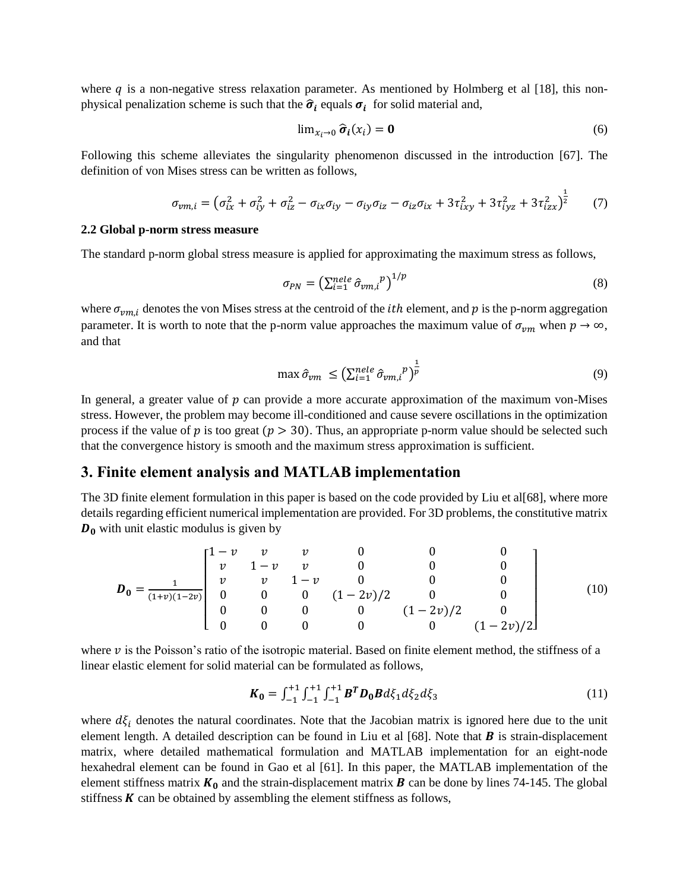where q is a non-negative stress relaxation parameter. As mentioned by Holmberg et al [18], this nonphysical penalization scheme is such that the  $\hat{\sigma}_i$  equals  $\sigma_i$  for solid material and,

$$
\lim_{x_i \to 0} \widehat{\sigma}_i(x_i) = \mathbf{0} \tag{6}
$$

Following this scheme alleviates the singularity phenomenon discussed in the introduction [67]. The definition of von Mises stress can be written as follows,

$$
\sigma_{vm,i} = \left(\sigma_{ix}^2 + \sigma_{iy}^2 + \sigma_{iz}^2 - \sigma_{ix}\sigma_{iy} - \sigma_{iy}\sigma_{iz} - \sigma_{iz}\sigma_{ix} + 3\tau_{ixy}^2 + 3\tau_{iyz}^2 + 3\tau_{izx}^2\right)^{\frac{1}{2}} \tag{7}
$$

#### **2.2 Global p-norm stress measure**

The standard p-norm global stress measure is applied for approximating the maximum stress as follows,

$$
\sigma_{PN} = \left(\sum_{i=1}^{nele} \hat{\sigma}_{vm,i}^p\right)^{1/p} \tag{8}
$$

where  $\sigma_{vmi}$  denotes the von Mises stress at the centroid of the *ith* element, and p is the p-norm aggregation parameter. It is worth to note that the p-norm value approaches the maximum value of  $\sigma_{vm}$  when  $p \to \infty$ , and that

$$
\max \hat{\sigma}_{vm} \le \left(\sum_{i=1}^{nele} \hat{\sigma}_{vm,i}^p\right)^{\frac{1}{p}} \tag{9}
$$

In general, a greater value of  $p$  can provide a more accurate approximation of the maximum von-Mises stress. However, the problem may become ill-conditioned and cause severe oscillations in the optimization process if the value of  $p$  is too great ( $p > 30$ ). Thus, an appropriate p-norm value should be selected such that the convergence history is smooth and the maximum stress approximation is sufficient.

## **3. Finite element analysis and MATLAB implementation**

The 3D finite element formulation in this paper is based on the code provided by Liu et al[68], where more details regarding efficient numerical implementation are provided. For 3D problems, the constitutive matrix  $D_0$  with unit elastic modulus is given by

$$
\boldsymbol{D}_0 = \frac{1}{(1+v)(1-2v)} \begin{bmatrix} 1-v & v & v & 0 & 0 & 0 \\ v & 1-v & v & 0 & 0 & 0 \\ v & v & 1-v & 0 & 0 & 0 \\ 0 & 0 & 0 & (1-2v)/2 & 0 & 0 \\ 0 & 0 & 0 & 0 & (1-2v)/2 & 0 \\ 0 & 0 & 0 & 0 & 0 & (1-2v)/2 \end{bmatrix}
$$
(10)

where  $\nu$  is the Poisson's ratio of the isotropic material. Based on finite element method, the stiffness of a linear elastic element for solid material can be formulated as follows,

$$
\boldsymbol{K}_0 = \int_{-1}^{+1} \int_{-1}^{+1} \int_{-1}^{+1} \boldsymbol{B}^T \boldsymbol{D}_0 \boldsymbol{B} d\xi_1 d\xi_2 d\xi_3 \tag{11}
$$

where  $d\xi_i$  denotes the natural coordinates. Note that the Jacobian matrix is ignored here due to the unit element length. A detailed description can be found in Liu et al  $[68]$ . Note that  $\bm{B}$  is strain-displacement matrix, where detailed mathematical formulation and MATLAB implementation for an eight-node hexahedral element can be found in Gao et al [61]. In this paper, the MATLAB implementation of the element stiffness matrix  $K_0$  and the strain-displacement matrix **B** can be done by lines 74-145. The global stiffness  $K$  can be obtained by assembling the element stiffness as follows,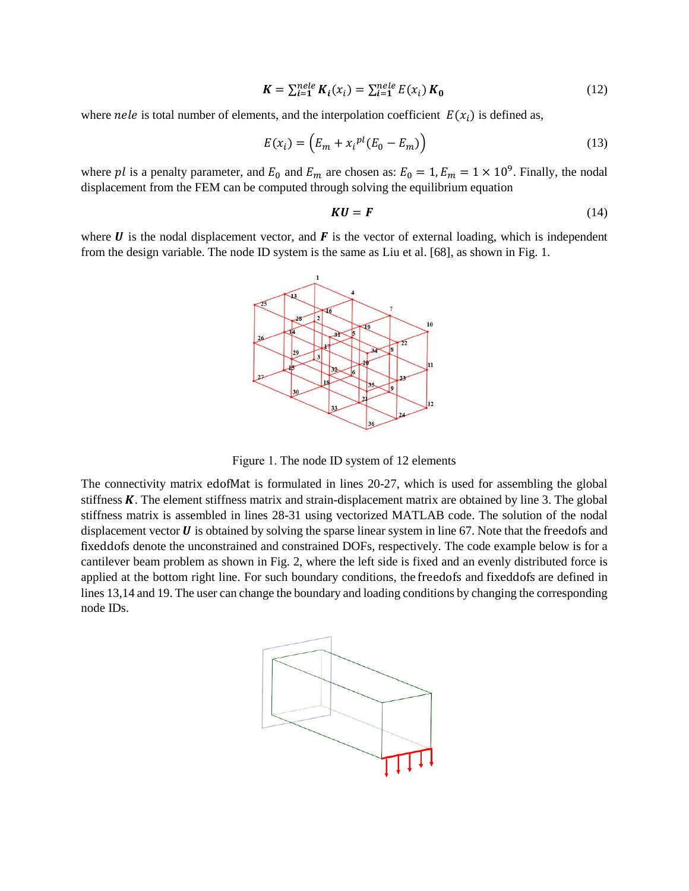$$
K = \sum_{i=1}^{nele} K_i(x_i) = \sum_{i=1}^{nele} E(x_i) K_0
$$
 (12)

where *nele* is total number of elements, and the interpolation coefficient  $E(x_i)$  is defined as,

$$
E(x_i) = \left(E_m + x_i^{pl}(E_0 - E_m)\right)
$$
\n(13)

where pl is a penalty parameter, and  $E_0$  and  $E_m$  are chosen as:  $E_0 = 1$ ,  $E_m = 1 \times 10^9$ . Finally, the nodal displacement from the FEM can be computed through solving the equilibrium equation

$$
KU = F \tag{14}
$$

where  $U$  is the nodal displacement vector, and  $F$  is the vector of external loading, which is independent from the design variable. The node ID system is the same as Liu et al. [68], as shown in Fig. 1.



Figure 1. The node ID system of 12 elements

The connectivity matrix edofMat is formulated in lines 20-27, which is used for assembling the global stiffness  $K$ . The element stiffness matrix and strain-displacement matrix are obtained by line 3. The global stiffness matrix is assembled in lines 28-31 using vectorized MATLAB code. The solution of the nodal displacement vector  $\bm{U}$  is obtained by solving the sparse linear system in line 67. Note that the freedofs and fixeddofs denote the unconstrained and constrained DOFs, respectively. The code example below is for a cantilever beam problem as shown in Fig. 2, where the left side is fixed and an evenly distributed force is applied at the bottom right line. For such boundary conditions, the freedofs and fixeddofs are defined in lines 13,14 and 19. The user can change the boundary and loading conditions by changing the corresponding node IDs.

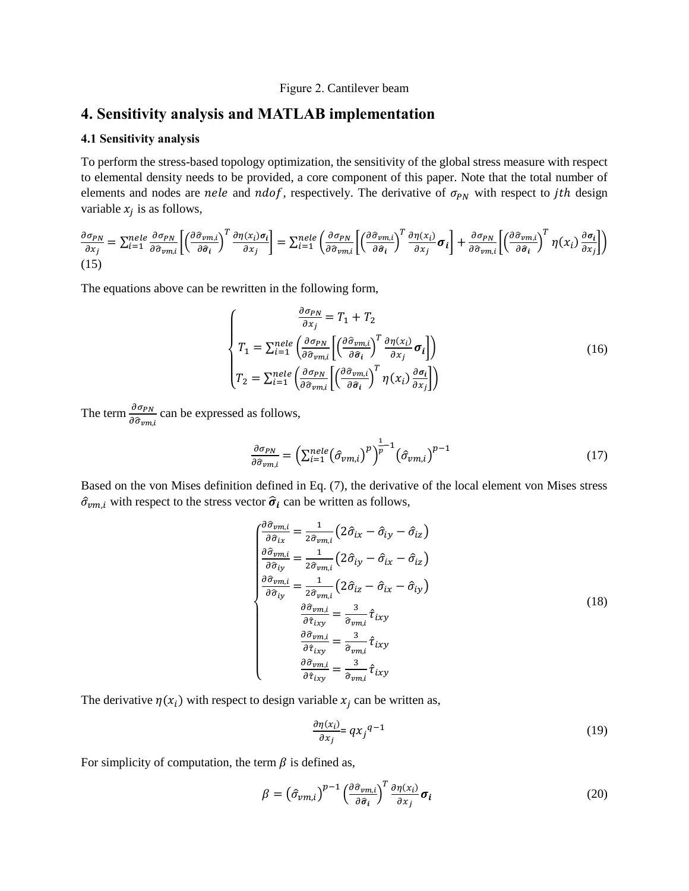#### Figure 2. Cantilever beam

## **4. Sensitivity analysis and MATLAB implementation**

#### **4.1 Sensitivity analysis**

To perform the stress-based topology optimization, the sensitivity of the global stress measure with respect to elemental density needs to be provided, a core component of this paper. Note that the total number of elements and nodes are nele and ndof, respectively. The derivative of  $\sigma_{PN}$  with respect to jth design variable  $x_j$  is as follows,

$$
\frac{\partial \sigma_{PN}}{\partial x_j} = \sum_{i=1}^{nele} \frac{\partial \sigma_{PN}}{\partial \hat{\sigma}_{vm,i}} \left[ \left( \frac{\partial \hat{\sigma}_{vm,i}}{\partial \hat{\sigma}_i} \right)^T \frac{\partial \eta(x_i) \sigma_i}{\partial x_j} \right] = \sum_{i=1}^{nele} \left( \frac{\partial \hat{\sigma}_{PN}}{\partial \hat{\sigma}_{vm,i}} \left[ \left( \frac{\partial \hat{\sigma}_{vm,i}}{\partial \hat{\sigma}_i} \right)^T \frac{\partial \eta(x_i)}{\partial x_j} \sigma_i \right] + \frac{\partial \sigma_{PN}}{\partial \hat{\sigma}_{vm,i}} \left[ \left( \frac{\partial \hat{\sigma}_{vm,i}}{\partial \hat{\sigma}_i} \right)^T \eta(x_i) \frac{\partial \sigma_i}{\partial x_j} \right] \right)
$$
\n(15)

The equations above can be rewritten in the following form,

$$
\begin{cases}\n\frac{\partial \sigma_{PN}}{\partial x_j} = T_1 + T_2 \\
T_1 = \sum_{i=1}^{nele} \left( \frac{\partial \sigma_{PN}}{\partial \hat{\sigma}_{vm,i}} \left[ \left( \frac{\partial \hat{\sigma}_{vm,i}}{\partial \hat{\sigma}_i} \right)^T \frac{\partial \eta(x_i)}{\partial x_j} \sigma_i \right] \right) \\
T_2 = \sum_{i=1}^{nele} \left( \frac{\partial \sigma_{PN}}{\partial \hat{\sigma}_{vm,i}} \left[ \left( \frac{\partial \hat{\sigma}_{vm,i}}{\partial \hat{\sigma}_i} \right)^T \eta(x_i) \frac{\partial \sigma_i}{\partial x_j} \right] \right)\n\end{cases} (16)
$$

The term  $\frac{\partial \sigma_{PN}}{\partial \hat{\sigma}_{vm,i}}$  can be expressed as follows,

$$
\frac{\partial \sigma_{PN}}{\partial \hat{\sigma}_{vm,i}} = \left(\sum_{i=1}^{nele} (\hat{\sigma}_{vm,i})^p\right)^{\frac{1}{p}-1} (\hat{\sigma}_{vm,i})^{p-1}
$$
(17)

Based on the von Mises definition defined in Eq. (7), the derivative of the local element von Mises stress  $\hat{\sigma}_{vm,i}$  with respect to the stress vector  $\hat{\sigma}_i$  can be written as follows,

$$
\begin{aligned}\n\begin{aligned}\n\frac{\partial \hat{\sigma}_{vm,i}}{\partial \hat{\sigma}_{ix}} &= \frac{1}{2\hat{\sigma}_{vm,i}} \left( 2\hat{\sigma}_{ix} - \hat{\sigma}_{iy} - \hat{\sigma}_{iz} \right) \\
\frac{\partial \hat{\sigma}_{vm,i}}{\partial \hat{\sigma}_{iy}} &= \frac{1}{2\hat{\sigma}_{vm,i}} \left( 2\hat{\sigma}_{iy} - \hat{\sigma}_{ix} - \hat{\sigma}_{iz} \right) \\
\frac{\partial \hat{\sigma}_{vm,i}}{\partial \hat{\sigma}_{iy}} &= \frac{1}{2\hat{\sigma}_{vm,i}} \left( 2\hat{\sigma}_{iz} - \hat{\sigma}_{ix} - \hat{\sigma}_{iy} \right) \\
\frac{\partial \hat{\sigma}_{vm,i}}{\partial \hat{\tau}_{ixy}} &= \frac{3}{\hat{\sigma}_{vm,i}} \hat{\tau}_{ixy} \\
\frac{\partial \hat{\sigma}_{vm,i}}{\partial \hat{\tau}_{ixy}} &= \frac{3}{\hat{\sigma}_{vm,i}} \hat{\tau}_{ixy} \\
\frac{\partial \hat{\sigma}_{vm,i}}{\partial \hat{\tau}_{ixy}} &= \frac{3}{\hat{\sigma}_{vm,i}} \hat{\tau}_{ixy}\n\end{aligned}\n\tag{18}
$$

The derivative  $\eta(x_i)$  with respect to design variable  $x_j$  can be written as,

$$
\frac{\partial \eta(x_i)}{\partial x_j} = qx_j^{q-1} \tag{19}
$$

For simplicity of computation, the term  $\beta$  is defined as,

$$
\beta = \left(\hat{\sigma}_{vm,i}\right)^{p-1} \left(\frac{\partial \hat{\sigma}_{vm,i}}{\partial \hat{\sigma}_i}\right)^T \frac{\partial \eta(x_i)}{\partial x_j} \sigma_i
$$
\n(20)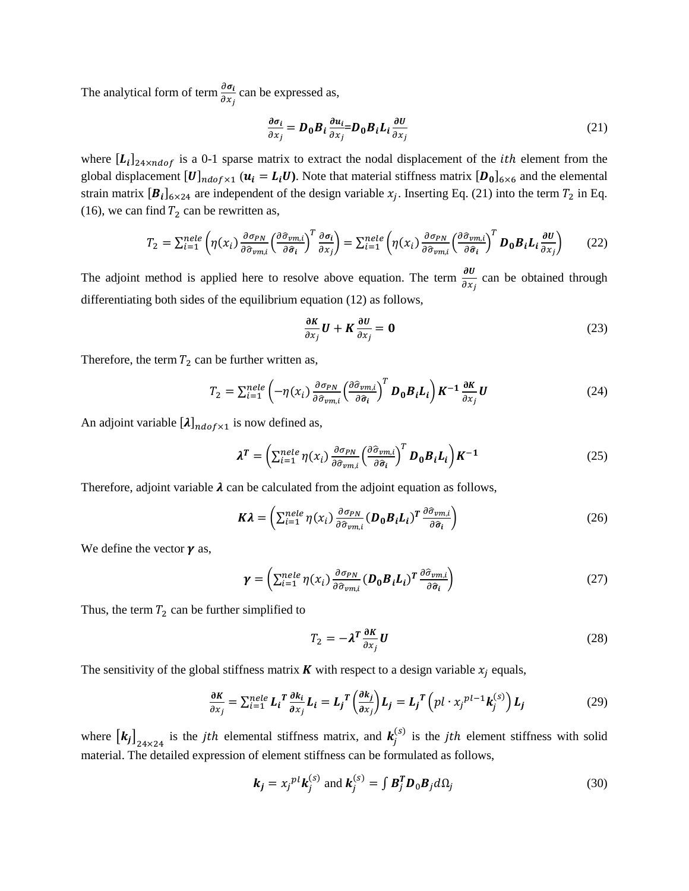The analytical form of term  $\frac{\partial \sigma_i}{\partial x_j}$  can be expressed as,

$$
\frac{\partial \sigma_i}{\partial x_j} = D_0 B_i \frac{\partial u_i}{\partial x_j} = D_0 B_i L_i \frac{\partial U}{\partial x_j}
$$
(21)

where  $[L_i]_{24 \times ndof}$  is a 0-1 sparse matrix to extract the nodal displacement of the *ith* element from the global displacement  $[U]_{ndof \times 1}$  ( $u_i = L_i U$ ). Note that material stiffness matrix  $[D_0]_{6 \times 6}$  and the elemental strain matrix  $[\mathbf{B}_i]_{6\times 24}$  are independent of the design variable  $x_j$ . Inserting Eq. (21) into the term  $T_2$  in Eq. (16), we can find  $T_2$  can be rewritten as,

$$
T_2 = \sum_{i=1}^{nele} \left( \eta(x_i) \frac{\partial \sigma_{PN}}{\partial \hat{\sigma}_{vm,i}} \left( \frac{\partial \hat{\sigma}_{vm,i}}{\partial \hat{\sigma}_i} \right)^T \frac{\partial \sigma_i}{\partial x_j} \right) = \sum_{i=1}^{nele} \left( \eta(x_i) \frac{\partial \sigma_{PN}}{\partial \hat{\sigma}_{vm,i}} \left( \frac{\partial \hat{\sigma}_{vm,i}}{\partial \hat{\sigma}_i} \right)^T \mathbf{D}_0 \mathbf{B}_i \mathbf{L}_i \frac{\partial \mathbf{U}}{\partial x_j} \right) \tag{22}
$$

The adjoint method is applied here to resolve above equation. The term  $\frac{\partial U}{\partial x_j}$  can be obtained through differentiating both sides of the equilibrium equation (12) as follows,

$$
\frac{\partial K}{\partial x_j} U + K \frac{\partial U}{\partial x_j} = \mathbf{0}
$$
 (23)

Therefore, the term  $T_2$  can be further written as,

$$
T_2 = \sum_{i=1}^{nele} \left( -\eta(x_i) \frac{\partial \sigma_{PN}}{\partial \hat{\sigma}_{vm,i}} \left( \frac{\partial \hat{\sigma}_{vm,i}}{\partial \hat{\sigma}_i} \right)^T \mathbf{D}_0 \mathbf{B}_i \mathbf{L}_i \right) \mathbf{K}^{-1} \frac{\partial \mathbf{K}}{\partial x_j} \mathbf{U}
$$
(24)

An adjoint variable  $[\lambda]_{ndof\times 1}$  is now defined as,

$$
\lambda^T = \left(\sum_{i=1}^{nele} \eta(x_i) \frac{\partial \sigma_{PN}}{\partial \hat{\sigma}_{vm,i}} \left(\frac{\partial \hat{\sigma}_{vm,i}}{\partial \hat{\sigma}_i}\right)^T \mathbf{D}_0 \mathbf{B}_i \mathbf{L}_i\right) \mathbf{K}^{-1}
$$
(25)

Therefore, adjoint variable  $\lambda$  can be calculated from the adjoint equation as follows,

$$
K\lambda = \left(\sum_{i=1}^{nele} \eta(x_i) \frac{\partial \sigma_{PN}}{\partial \hat{\sigma}_{vm,i}} (\boldsymbol{D}_0 \boldsymbol{B}_i \boldsymbol{L}_i)^T \frac{\partial \hat{\sigma}_{vm,i}}{\partial \hat{\sigma}_i}\right)
$$
(26)

We define the vector  $\gamma$  as,

$$
\gamma = \left(\sum_{i=1}^{nele} \eta(x_i) \frac{\partial \sigma_{PN}}{\partial \hat{\sigma}_{vm,i}} (\boldsymbol{D}_0 \boldsymbol{B}_i \boldsymbol{L}_i)^T \frac{\partial \hat{\sigma}_{vm,i}}{\partial \hat{\sigma}_i}\right)
$$
(27)

Thus, the term  $T_2$  can be further simplified to

$$
T_2 = -\lambda^T \frac{\partial K}{\partial x_j} U \tag{28}
$$

The sensitivity of the global stiffness matrix **K** with respect to a design variable  $x_i$  equals,

$$
\frac{\partial K}{\partial x_j} = \sum_{i=1}^{nele} L_i^T \frac{\partial k_i}{\partial x_j} L_i = L_j^T \left( \frac{\partial k_j}{\partial x_j} \right) L_j = L_j^T \left( pl \cdot x_j^{pl-1} k_j^{(S)} \right) L_j
$$
(29)

where  $[k_j]_{24\times24}$  is the *jth* elemental stiffness matrix, and  $k_j^{(s)}$  is the *jth* element stiffness with solid material. The detailed expression of element stiffness can be formulated as follows,

$$
\mathbf{k}_{j} = x_{j}^{pl} \mathbf{k}_{j}^{(s)} \text{ and } \mathbf{k}_{j}^{(s)} = \int \mathbf{B}_{j}^{T} \mathbf{D}_{0} \mathbf{B}_{j} d\Omega_{j}
$$
(30)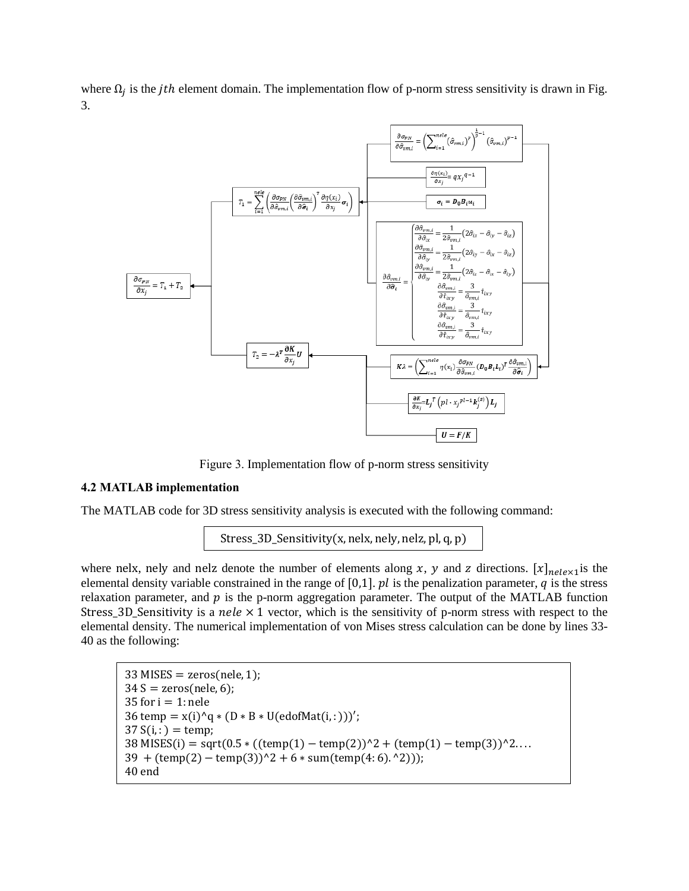where  $\Omega_j$  is the *jth* element domain. The implementation flow of p-norm stress sensitivity is drawn in Fig. 3.



Figure 3. Implementation flow of p-norm stress sensitivity

## **4.2 MATLAB implementation**

The MATLAB code for 3D stress sensitivity analysis is executed with the following command:

```
Stress_3D_Sensitivity(x, nelx, nely, nelz, pl, q, p)
```
where nelx, nely and nelz denote the number of elements along x, y and z directions.  $[x]_{nele \times 1}$  is the elemental density variable constrained in the range of  $[0,1]$ .  $pl$  is the penalization parameter,  $q$  is the stress relaxation parameter, and  $p$  is the p-norm aggregation parameter. The output of the MATLAB function Stress\_3D\_Sensitivity is a nele  $\times$  1 vector, which is the sensitivity of p-norm stress with respect to the elemental density. The numerical implementation of von Mises stress calculation can be done by lines 33- 40 as the following:

```
33 MISES = zeros(nele, 1);
34 S = zeros(nele, 6);35 for i = 1: nele
36 temp = x(i)^{n}q * (D * B * U(edofMat(i, :)))';37 S(i, : ) = temp;38 MISES(i) = sqrt(0.5 * ((temp(1) – temp(2))^2 + (temp(1) – temp(3))^2....
39 + (temp(2) - temp(3))^2 + 6 * sumtemp(4:6). ^2));
40 end
```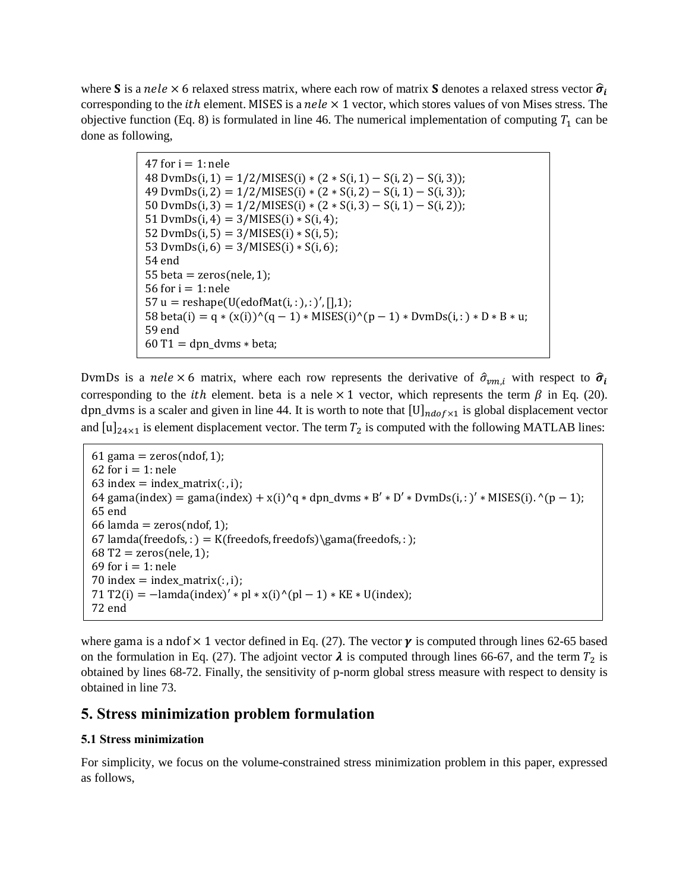where S is a nele  $\times$  6 relaxed stress matrix, where each row of matrix S denotes a relaxed stress vector  $\hat{\sigma}_i$ corresponding to the *ith* element. MISES is a *nele*  $\times$  1 vector, which stores values of von Mises stress. The objective function (Eq. 8) is formulated in line 46. The numerical implementation of computing  $T_1$  can be done as following,

> 47 for  $i = 1$ : nele 48 DvmDs(i, 1) =  $1/2/MISES(i) * (2 * S(i, 1) - S(i, 2) - S(i, 3));$  $49 \text{ DvmDs}(i, 2) = \frac{1}{2}\text{MISES}(i) * (2 * S(i, 2) - S(i, 1) - S(i, 3));$ 50 DvmDs(i, 3) =  $1/2$ /MISES(i) \* (2 \* S(i, 3) – S(i, 1) – S(i, 2)); 51 DvmDs(i, 4) =  $3/MISES(i) * S(i, 4);$ 52 DvmDs(i, 5) =  $3/MISES(i) * S(i, 5);$ 53 DvmDs(i, 6) =  $3/MISES(i) * S(i, 6);$ 54 end 55 beta = zeros(nele, 1); 56 for  $i = 1$ : nele 57 u = reshape(U(edofMat(i,:),:)',[],1); 58 beta(i) = q \* (x(i))^(q - 1) \* MISES(i)^(p - 1) \* DvmDs(i, : ) \* D \* B \* u; 59 end  $60$  T1 = dpn dvms  $*$  beta;

DvmDs is a nele  $\times$  6 matrix, where each row represents the derivative of  $\hat{\sigma}_{vm,i}$  with respect to  $\hat{\sigma}_i$ corresponding to the *ith* element. beta is a nele  $\times$  1 vector, which represents the term  $\beta$  in Eq. (20). dpn\_dvms is a scaler and given in line 44. It is worth to note that  $[U]_{ndof\times 1}$  is global displacement vector and  $[u]_{24\times1}$  is element displacement vector. The term  $T_2$  is computed with the following MATLAB lines:

```
61 gama = zeros(ndof, 1);
62 for i = 1: nele
63 index = index_matrix(:, i);
64 gama(index) = gama(index) + x(i)^q * dpn_dvms * B' * D' * DvmDs(i, : )' * MISES(i). ^(p - 1);
65 end
66 lamda = zeros(ndof, 1);
67 lamda(freedofs,:) = K(freedofs, freedofs)\gama(freedofs,:);
68 T2 = zeros(nele, 1);69 for i = 1: nele
70 index = index_matrix(:, i);71 T2(i) = -\text{lamda}(\text{index})' * \text{pl} * x(i)^{n}(\text{pl} - 1) * \text{KE} * U(\text{index});72 end
```
where gama is a ndof  $\times$  1 vector defined in Eq. (27). The vector  $\gamma$  is computed through lines 62-65 based on the formulation in Eq. (27). The adjoint vector  $\lambda$  is computed through lines 66-67, and the term  $T_2$  is obtained by lines 68-72. Finally, the sensitivity of p-norm global stress measure with respect to density is obtained in line 73.

# **5. Stress minimization problem formulation**

## **5.1 Stress minimization**

For simplicity, we focus on the volume-constrained stress minimization problem in this paper, expressed as follows,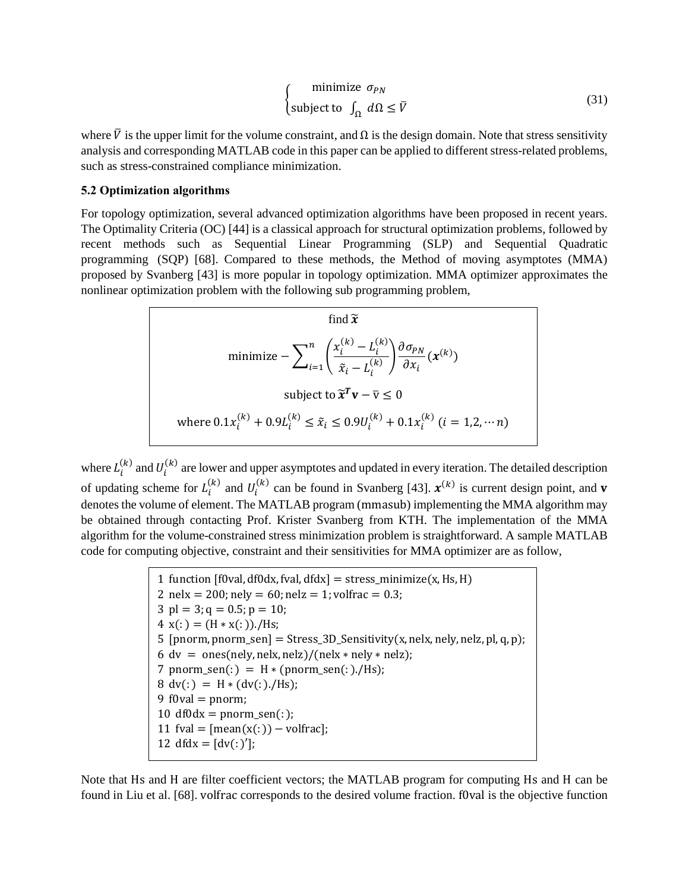$$
\begin{cases}\n\text{minimize } \sigma_{PN} \\
\text{subject to } \int_{\Omega} d\Omega \leq \overline{V}\n\end{cases}
$$
\n(31)

where  $\bar{V}$  is the upper limit for the volume constraint, and  $\Omega$  is the design domain. Note that stress sensitivity analysis and corresponding MATLAB code in this paper can be applied to different stress-related problems, such as stress-constrained compliance minimization.

#### **5.2 Optimization algorithms**

For topology optimization, several advanced optimization algorithms have been proposed in recent years. The Optimality Criteria (OC) [44] is a classical approach for structural optimization problems, followed by recent methods such as Sequential Linear Programming (SLP) and Sequential Quadratic programming (SQP) [68]. Compared to these methods, the Method of moving asymptotes (MMA) proposed by Svanberg [43] is more popular in topology optimization. MMA optimizer approximates the nonlinear optimization problem with the following sub programming problem,

find 
$$
\tilde{x}
$$
  
\n
$$
\text{minimize } -\sum_{i=1}^{n} \left( \frac{x_i^{(k)} - L_i^{(k)}}{\tilde{x}_i - L_i^{(k)}} \right) \frac{\partial \sigma_{PN}}{\partial x_i} (x^{(k)})
$$
\n
$$
\text{subject to } \tilde{x}^T \mathbf{v} - \overline{\mathbf{v}} \le 0
$$
\n
$$
\text{where } 0.1x_i^{(k)} + 0.9L_i^{(k)} \le \tilde{x}_i \le 0.9U_i^{(k)} + 0.1x_i^{(k)} \ (i = 1, 2, \dots n)
$$

where  $L_i^{(k)}$  and  $U_i^{(k)}$  are lower and upper asymptotes and updated in every iteration. The detailed description of updating scheme for  $L_i^{(k)}$  and  $U_i^{(k)}$  can be found in Svanberg [43].  $\mathbf{x}^{(k)}$  is current design point, and **v** denotes the volume of element. The MATLAB program (mmasub) implementing the MMA algorithm may be obtained through contacting Prof. Krister Svanberg from KTH. The implementation of the MMA algorithm for the volume-constrained stress minimization problem is straightforward. A sample MATLAB code for computing objective, constraint and their sensitivities for MMA optimizer are as follow,

> 1 function  $[10\text{val}, \text{df}0\text{dx}, \text{fval}, \text{df}0\text{dx}] = \text{stress}$  minimize(x, Hs, H) 2 nelx = 200; nely =  $60$ ; nelz = 1; volfrac = 0.3; 3 pl = 3;  $q = 0.5$ ;  $p = 10$ ; 4  $x(:) = (H * x(:))$ ./Hs; 5 [pnorm, pnorm\_sen] = Stress\_3D\_Sensitivity(x, nelx, nely, nelz, pl, q, p); 6 dv = ones(nely, nelx, nelz)/(nelx  $*$  nely  $*$  nelz); 7 pnorm\_sen(:) =  $H * (pnorm\_sen(:)$ ./Hs);  $8 \text{ dv}(:) = H * (dv(:)./Hs);$ 9 f0val  $=$  pnorm; 10 df0dx = pnorm\_sen(:); 11 fval =  $[mean(x(:)) - volfrac]$ ; 12 dfdx =  $[dv($ : )'];

Note that Hs and H are filter coefficient vectors; the MATLAB program for computing Hs and H can be found in Liu et al. [68]. volfrac corresponds to the desired volume fraction. f0val is the objective function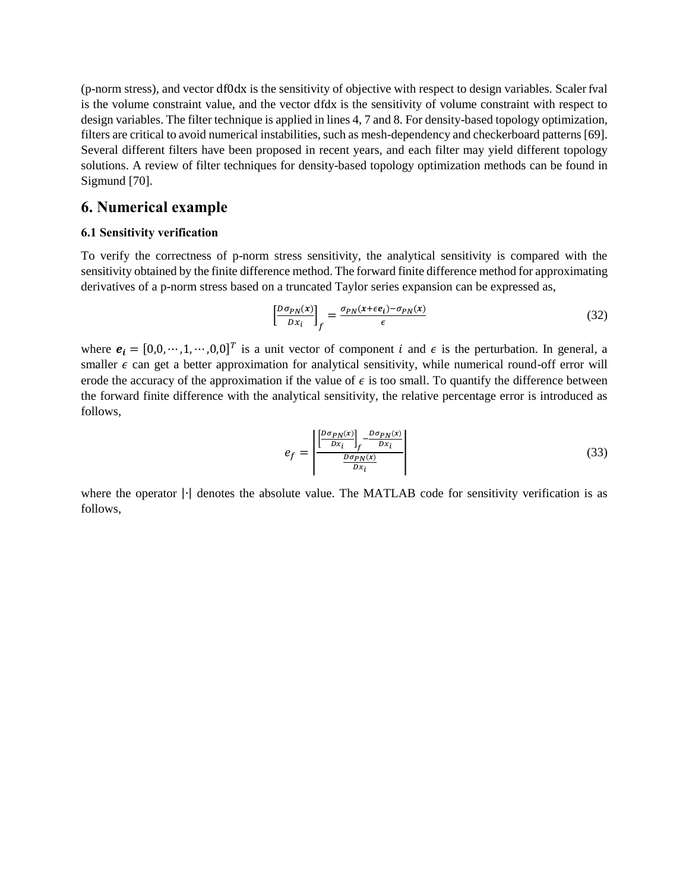(p-norm stress), and vector df0dx is the sensitivity of objective with respect to design variables. Scaler fval is the volume constraint value, and the vector dfdx is the sensitivity of volume constraint with respect to design variables. The filter technique is applied in lines 4, 7 and 8. For density-based topology optimization, filters are critical to avoid numerical instabilities, such as mesh-dependency and checkerboard patterns [69]. Several different filters have been proposed in recent years, and each filter may yield different topology solutions. A review of filter techniques for density-based topology optimization methods can be found in Sigmund [70].

## **6. Numerical example**

#### **6.1 Sensitivity verification**

To verify the correctness of p-norm stress sensitivity, the analytical sensitivity is compared with the sensitivity obtained by the finite difference method. The forward finite difference method for approximating derivatives of a p-norm stress based on a truncated Taylor series expansion can be expressed as,

$$
\left[\frac{D\sigma_{PN}(x)}{Dx_i}\right]_f = \frac{\sigma_{PN}(x + \epsilon e_i) - \sigma_{PN}(x)}{\epsilon} \tag{32}
$$

where  $e_i = [0,0,\dots,1,\dots,0,0]^T$  is a unit vector of component *i* and  $\epsilon$  is the perturbation. In general, a smaller  $\epsilon$  can get a better approximation for analytical sensitivity, while numerical round-off error will erode the accuracy of the approximation if the value of  $\epsilon$  is too small. To quantify the difference between the forward finite difference with the analytical sensitivity, the relative percentage error is introduced as follows,

$$
e_f = \frac{\left| \frac{D \sigma_{PN}(x)}{D x_i} \right|_f - \frac{D \sigma_{PN}(x)}{D x_i}}{\frac{D \sigma_{PN}(x)}{D x_i}} \tag{33}
$$

where the operator |∙| denotes the absolute value. The MATLAB code for sensitivity verification is as follows,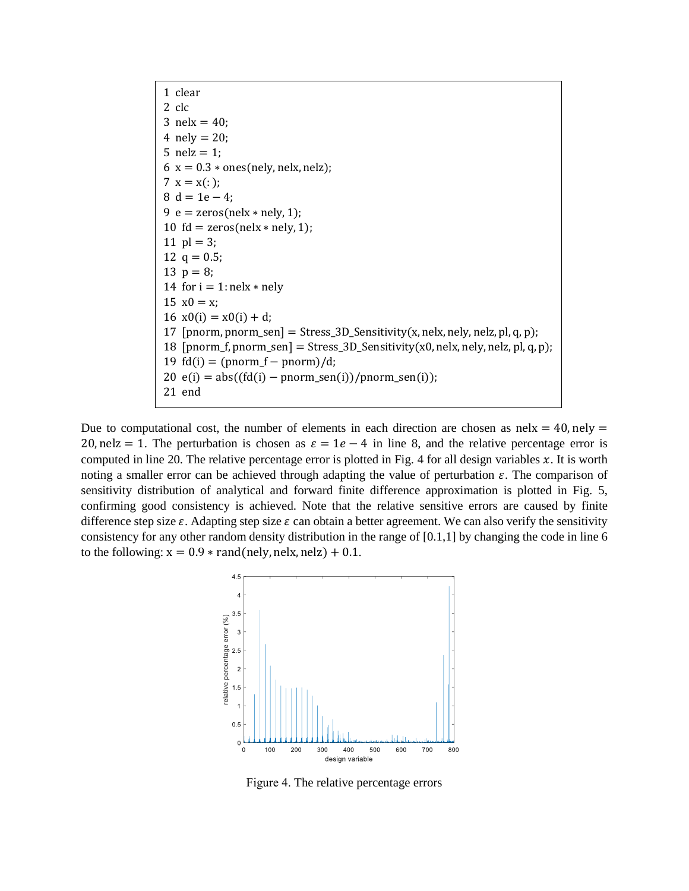1 clear  $2$  clc 3 nelx =  $40$ ; 4 nely  $= 20$ ; 5 nelz  $= 1$ ;  $6 x = 0.3 * ones(nely, nely, nely);$ 7  $x = x(:);$  $8 d = 1e - 4;$ 9  $e = \text{zeros}(\text{nek} * \text{nek}, 1)$ ; 10 fd = zeros(nelx  $*$  nely, 1); 11  $pl = 3$ ; 12  $q = 0.5$ ; 13  $p = 8$ ; 14 for  $i = 1$ : nelx  $*$  nely 15  $x0 = x$ ;  $16 \text{ x0(i)} = x0(i) + d$ ; 17 [pnorm, pnorm\_sen] = Stress\_3D\_Sensitivity(x, nelx, nely, nelz, pl, q, p); 18  $[ponorm_f, pronorm\_sen] = \frac{Stress_3D_Sensitivity(x0, nely, nely, nely, p, q, p)}{B}$ 19  $fd(i) = (pnorm_f - pnorm)/d;$  $20 e(i) = abs((fd(i) - pnorm\_sen(i))/pnorm\_sen(i));$ 21 end

Due to computational cost, the number of elements in each direction are chosen as  $n$ elx = 40, nely = 20, nelz = 1. The perturbation is chosen as  $\varepsilon = 1e - 4$  in line 8, and the relative percentage error is computed in line 20. The relative percentage error is plotted in Fig. 4 for all design variables  $x$ . It is worth noting a smaller error can be achieved through adapting the value of perturbation  $\varepsilon$ . The comparison of sensitivity distribution of analytical and forward finite difference approximation is plotted in Fig. 5, confirming good consistency is achieved. Note that the relative sensitive errors are caused by finite difference step size  $\varepsilon$ . Adapting step size  $\varepsilon$  can obtain a better agreement. We can also verify the sensitivity consistency for any other random density distribution in the range of [0.1,1] by changing the code in line 6 to the following:  $x = 0.9 * \text{rand}(\text{nelly}, \text{nek}, \text{nelz}) + 0.1$ .



Figure 4. The relative percentage errors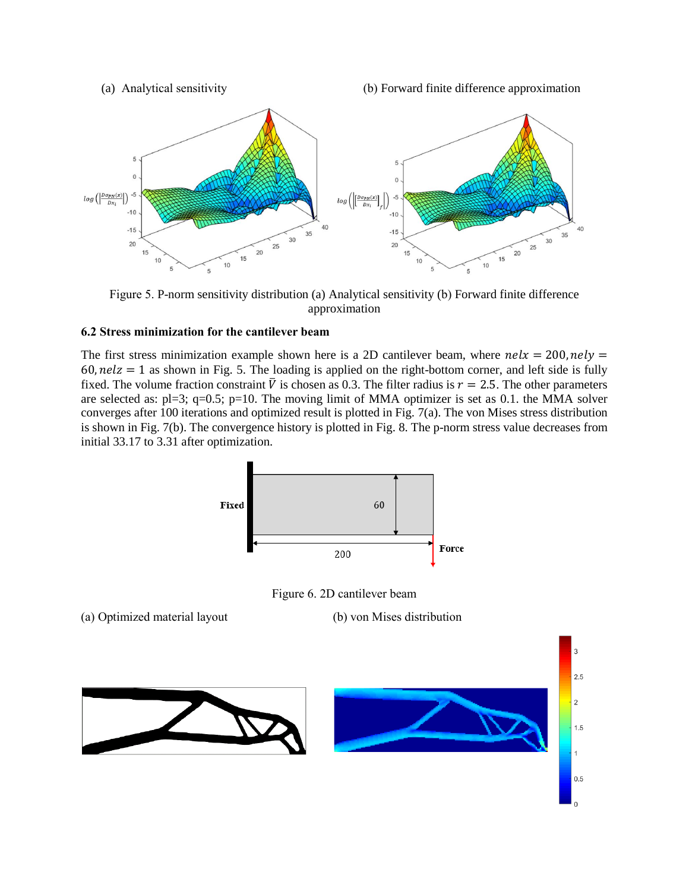(a) Analytical sensitivity (b) Forward finite difference approximation



Figure 5. P-norm sensitivity distribution (a) Analytical sensitivity (b) Forward finite difference approximation

## **6.2 Stress minimization for the cantilever beam**

The first stress minimization example shown here is a 2D cantilever beam, where  $\text{rel}x = 200$ ,  $\text{rel}y =$  $60$ ,  $nelz = 1$  as shown in Fig. 5. The loading is applied on the right-bottom corner, and left side is fully fixed. The volume fraction constraint  $\bar{V}$  is chosen as 0.3. The filter radius is  $r = 2.5$ . The other parameters are selected as:  $p=3$ ;  $q=0.5$ ;  $p=10$ . The moving limit of MMA optimizer is set as 0.1. the MMA solver converges after 100 iterations and optimized result is plotted in Fig. 7(a). The von Mises stress distribution is shown in Fig. 7(b). The convergence history is plotted in Fig. 8. The p-norm stress value decreases from initial 33.17 to 3.31 after optimization.



Figure 6. 2D cantilever beam

(a) Optimized material layout (b) von Mises distribution

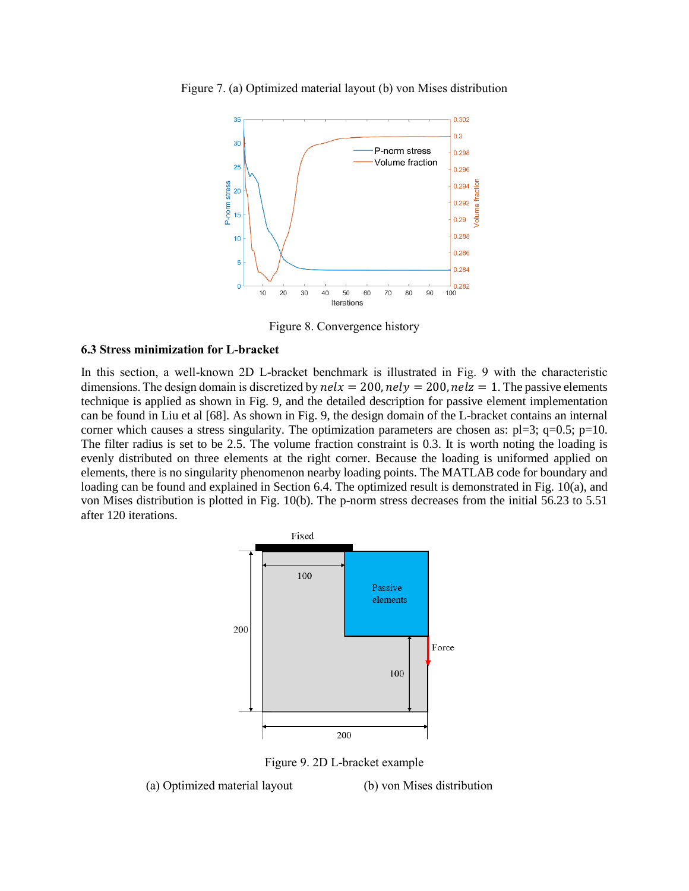



Figure 8. Convergence history

#### **6.3 Stress minimization for L-bracket**

In this section, a well-known 2D L-bracket benchmark is illustrated in Fig. 9 with the characteristic dimensions. The design domain is discretized by  $\text{relx} = 200$ ,  $\text{rely} = 200$ ,  $\text{relz} = 1$ . The passive elements technique is applied as shown in Fig. 9, and the detailed description for passive element implementation can be found in Liu et al [68]. As shown in Fig. 9, the design domain of the L-bracket contains an internal corner which causes a stress singularity. The optimization parameters are chosen as:  $p=3$ ;  $q=0.5$ ;  $p=10$ . The filter radius is set to be 2.5. The volume fraction constraint is 0.3. It is worth noting the loading is evenly distributed on three elements at the right corner. Because the loading is uniformed applied on elements, there is no singularity phenomenon nearby loading points. The MATLAB code for boundary and loading can be found and explained in Section 6.4. The optimized result is demonstrated in Fig. 10(a), and von Mises distribution is plotted in Fig. 10(b). The p-norm stress decreases from the initial 56.23 to 5.51 after 120 iterations.



Figure 9. 2D L-bracket example

(a) Optimized material layout (b) von Mises distribution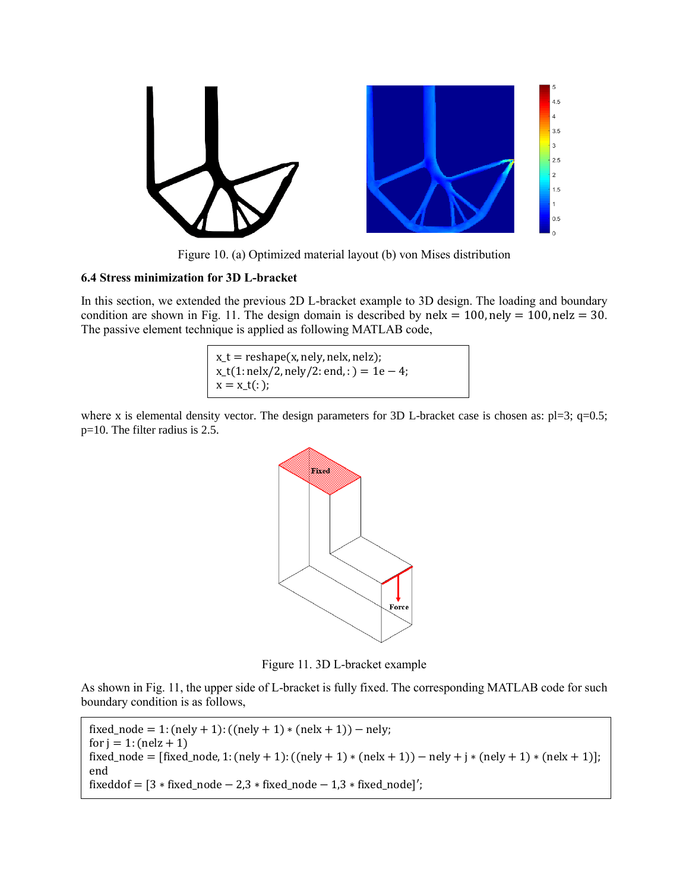

Figure 10. (a) Optimized material layout (b) von Mises distribution

## **6.4 Stress minimization for 3D L-bracket**

In this section, we extended the previous 2D L-bracket example to 3D design. The loading and boundary condition are shown in Fig. 11. The design domain is described by nelx =  $100$ , nely =  $100$ , nelz =  $30$ . The passive element technique is applied as following MATLAB code,

> $x_t$  = reshape(x, nely, nelx, nelz);  $x_{-}t(1:\text{nelx}/2,\text{nely}/2:\text{end},:)=1e-4;$  $x = x_t(:);$

where x is elemental density vector. The design parameters for 3D L-bracket case is chosen as: pl=3; q=0.5; p=10. The filter radius is 2.5.



Figure 11. 3D L-bracket example

As shown in Fig. 11, the upper side of L-bracket is fully fixed. The corresponding MATLAB code for such boundary condition is as follows,

```
fixed_node = 1: (nely + 1): ((nely + 1) * (nek + 1)) - nely;
for j = 1: (nelz + 1)
fixed_node = [fixed\_node, 1: (nelly + 1): ((nelly + 1) * (nelx + 1)) - nely + j * (nely + 1) * (nelx + 1)];end
fixeddof = [3 * fixed-node - 2,3 * fixed-node - 1,3 * fixed-node]′;
```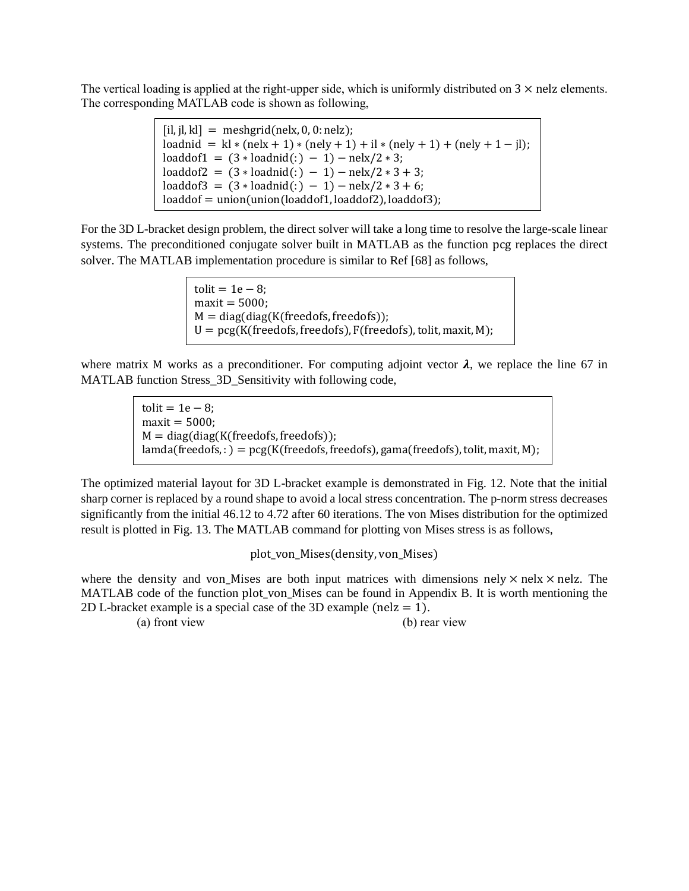The vertical loading is applied at the right-upper side, which is uniformly distributed on  $3 \times$  nelz elements. The corresponding MATLAB code is shown as following,

| $[i, i], k] = meshgrid(nelx, 0, 0: nelz);$                                    |
|-------------------------------------------------------------------------------|
| loadnid = $kl * (nely + 1) * (nely + 1) + il * (nely + 1) + (nely + 1 - il);$ |
| $loadof1 = (3 * loadmid(:) - 1) - nels/2 * 3;$                                |
| loaddof2 = $(3 * \text{loading}() - 1) - \text{nek}/2 * 3 + 3;$               |
| loaddof3 = $(3 * \text{loading}() - 1) - \text{nek}/2 * 3 + 6;$               |
| $loaddof = union(union (loaddof1, loaddof2), loaddof3);$                      |

For the 3D L-bracket design problem, the direct solver will take a long time to resolve the large-scale linear systems. The preconditioned conjugate solver built in MATLAB as the function pcg replaces the direct solver. The MATLAB implementation procedure is similar to Ref [68] as follows,

> $t$ olit = 1e – 8;  $maxit = 5000$ ;  $M = diag(diag(K(freedofs, freedofs))$ ;  $U = \text{pcg}(K(\text{freedofs}, \text{freedofs}), F(\text{freedofs}), \text{tolit}, \text{maxit}, M);$

where matrix M works as a preconditioner. For computing adjoint vector  $\lambda$ , we replace the line 67 in MATLAB function Stress 3D Sensitivity with following code,

> $\text{tolit} = 1\text{e} - 8;$  $maxit = 5000;$  $M = diag(diag(K(freedofs, freedofs))$ ;  $landa(freedofs,:) = pcg(K(freedofs, freedofs), gama(freedofs), to lit, maxit, M);$

The optimized material layout for 3D L-bracket example is demonstrated in Fig. 12. Note that the initial sharp corner is replaced by a round shape to avoid a local stress concentration. The p-norm stress decreases significantly from the initial 46.12 to 4.72 after 60 iterations. The von Mises distribution for the optimized result is plotted in Fig. 13. The MATLAB command for plotting von Mises stress is as follows,

plot\_von\_Mises(density, von\_Mises)

where the density and von Mises are both input matrices with dimensions nely  $\times$  nelx  $\times$  nelz. The MATLAB code of the function plot\_von\_Mises can be found in Appendix B. It is worth mentioning the 2D L-bracket example is a special case of the 3D example (nelz  $= 1$ ).

(a) front view (b) rear view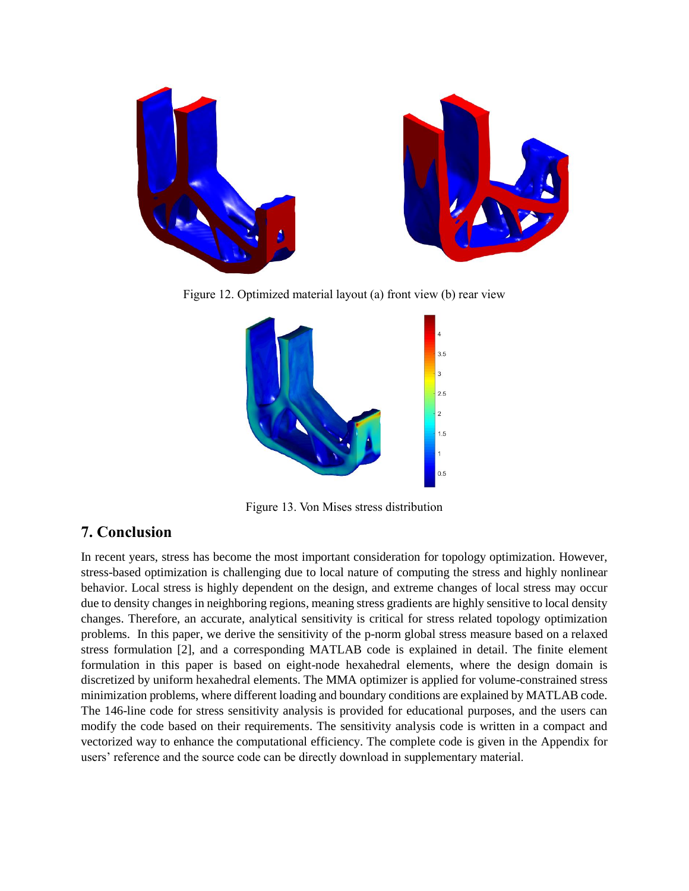

Figure 12. Optimized material layout (a) front view (b) rear view



Figure 13. Von Mises stress distribution

# **7. Conclusion**

In recent years, stress has become the most important consideration for topology optimization. However, stress-based optimization is challenging due to local nature of computing the stress and highly nonlinear behavior. Local stress is highly dependent on the design, and extreme changes of local stress may occur due to density changes in neighboring regions, meaning stress gradients are highly sensitive to local density changes. Therefore, an accurate, analytical sensitivity is critical for stress related topology optimization problems. In this paper, we derive the sensitivity of the p-norm global stress measure based on a relaxed stress formulation [2], and a corresponding MATLAB code is explained in detail. The finite element formulation in this paper is based on eight-node hexahedral elements, where the design domain is discretized by uniform hexahedral elements. The MMA optimizer is applied for volume-constrained stress minimization problems, where different loading and boundary conditions are explained by MATLAB code. The 146-line code for stress sensitivity analysis is provided for educational purposes, and the users can modify the code based on their requirements. The sensitivity analysis code is written in a compact and vectorized way to enhance the computational efficiency. The complete code is given in the Appendix for users' reference and the source code can be directly download in supplementary material.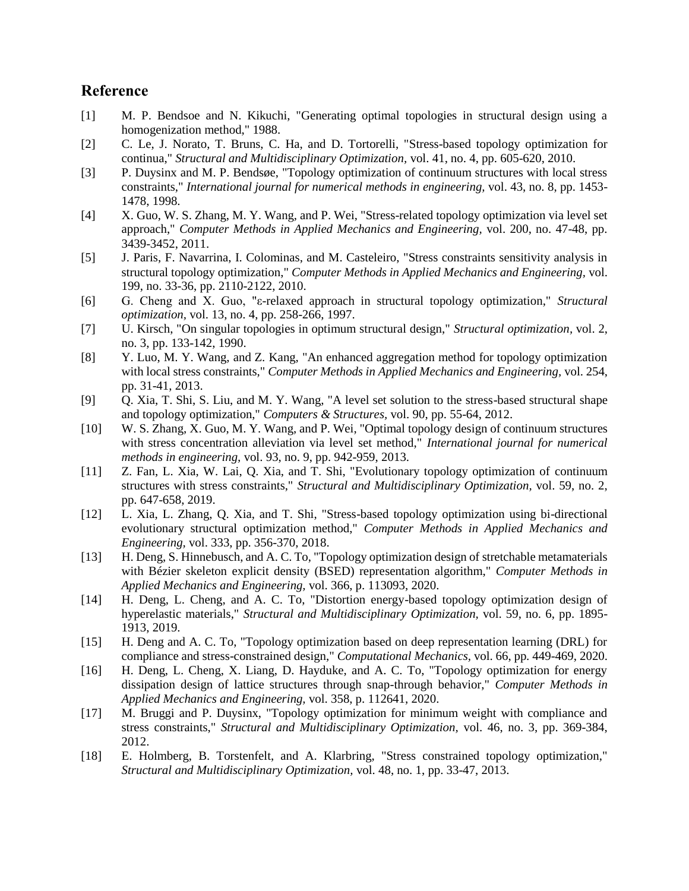# **Reference**

- [1] M. P. Bendsoe and N. Kikuchi, "Generating optimal topologies in structural design using a homogenization method," 1988.
- [2] C. Le, J. Norato, T. Bruns, C. Ha, and D. Tortorelli, "Stress-based topology optimization for continua," *Structural and Multidisciplinary Optimization,* vol. 41, no. 4, pp. 605-620, 2010.
- [3] P. Duysinx and M. P. Bendsøe, "Topology optimization of continuum structures with local stress constraints," *International journal for numerical methods in engineering,* vol. 43, no. 8, pp. 1453- 1478, 1998.
- [4] X. Guo, W. S. Zhang, M. Y. Wang, and P. Wei, "Stress-related topology optimization via level set approach," *Computer Methods in Applied Mechanics and Engineering,* vol. 200, no. 47-48, pp. 3439-3452, 2011.
- [5] J. Paris, F. Navarrina, I. Colominas, and M. Casteleiro, "Stress constraints sensitivity analysis in structural topology optimization," *Computer Methods in Applied Mechanics and Engineering,* vol. 199, no. 33-36, pp. 2110-2122, 2010.
- [6] G. Cheng and X. Guo, "ε-relaxed approach in structural topology optimization," *Structural optimization,* vol. 13, no. 4, pp. 258-266, 1997.
- [7] U. Kirsch, "On singular topologies in optimum structural design," *Structural optimization,* vol. 2, no. 3, pp. 133-142, 1990.
- [8] Y. Luo, M. Y. Wang, and Z. Kang, "An enhanced aggregation method for topology optimization with local stress constraints," *Computer Methods in Applied Mechanics and Engineering,* vol. 254, pp. 31-41, 2013.
- [9] Q. Xia, T. Shi, S. Liu, and M. Y. Wang, "A level set solution to the stress-based structural shape and topology optimization," *Computers & Structures,* vol. 90, pp. 55-64, 2012.
- [10] W. S. Zhang, X. Guo, M. Y. Wang, and P. Wei, "Optimal topology design of continuum structures with stress concentration alleviation via level set method," *International journal for numerical methods in engineering,* vol. 93, no. 9, pp. 942-959, 2013.
- [11] Z. Fan, L. Xia, W. Lai, Q. Xia, and T. Shi, "Evolutionary topology optimization of continuum structures with stress constraints," *Structural and Multidisciplinary Optimization,* vol. 59, no. 2, pp. 647-658, 2019.
- [12] L. Xia, L. Zhang, Q. Xia, and T. Shi, "Stress-based topology optimization using bi-directional evolutionary structural optimization method," *Computer Methods in Applied Mechanics and Engineering,* vol. 333, pp. 356-370, 2018.
- [13] H. Deng, S. Hinnebusch, and A. C. To, "Topology optimization design of stretchable metamaterials with Bézier skeleton explicit density (BSED) representation algorithm," *Computer Methods in Applied Mechanics and Engineering,* vol. 366, p. 113093, 2020.
- [14] H. Deng, L. Cheng, and A. C. To, "Distortion energy-based topology optimization design of hyperelastic materials," *Structural and Multidisciplinary Optimization,* vol. 59, no. 6, pp. 1895- 1913, 2019.
- [15] H. Deng and A. C. To, "Topology optimization based on deep representation learning (DRL) for compliance and stress-constrained design," *Computational Mechanics,* vol. 66, pp. 449-469, 2020.
- [16] H. Deng, L. Cheng, X. Liang, D. Hayduke, and A. C. To, "Topology optimization for energy dissipation design of lattice structures through snap-through behavior," *Computer Methods in Applied Mechanics and Engineering,* vol. 358, p. 112641, 2020.
- [17] M. Bruggi and P. Duysinx, "Topology optimization for minimum weight with compliance and stress constraints," *Structural and Multidisciplinary Optimization,* vol. 46, no. 3, pp. 369-384, 2012.
- [18] E. Holmberg, B. Torstenfelt, and A. Klarbring, "Stress constrained topology optimization," *Structural and Multidisciplinary Optimization,* vol. 48, no. 1, pp. 33-47, 2013.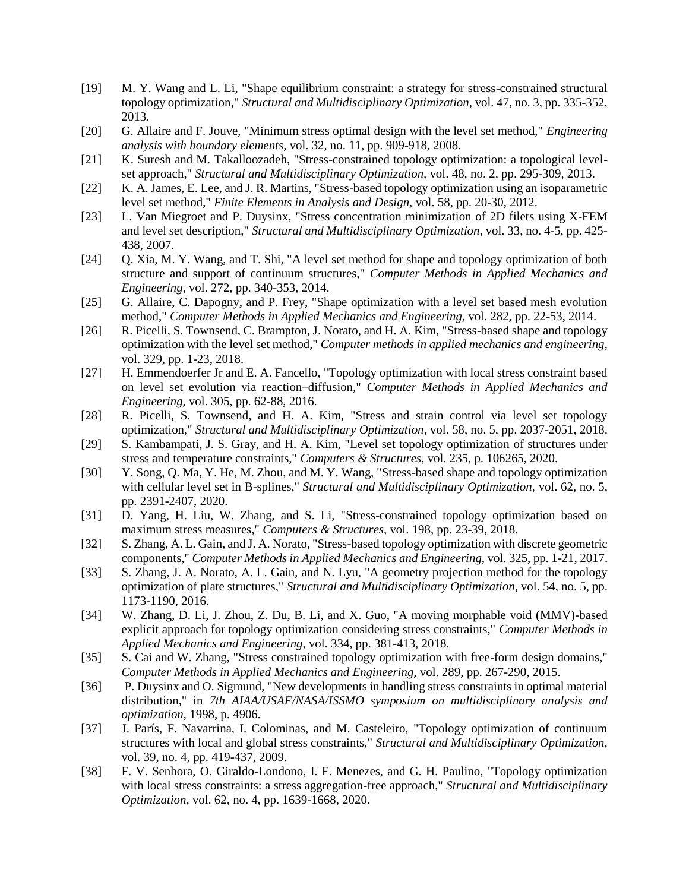- [19] M. Y. Wang and L. Li, "Shape equilibrium constraint: a strategy for stress-constrained structural topology optimization," *Structural and Multidisciplinary Optimization,* vol. 47, no. 3, pp. 335-352, 2013.
- [20] G. Allaire and F. Jouve, "Minimum stress optimal design with the level set method," *Engineering analysis with boundary elements,* vol. 32, no. 11, pp. 909-918, 2008.
- [21] K. Suresh and M. Takalloozadeh, "Stress-constrained topology optimization: a topological levelset approach," *Structural and Multidisciplinary Optimization,* vol. 48, no. 2, pp. 295-309, 2013.
- [22] K. A. James, E. Lee, and J. R. Martins, "Stress-based topology optimization using an isoparametric level set method," *Finite Elements in Analysis and Design,* vol. 58, pp. 20-30, 2012.
- [23] L. Van Miegroet and P. Duysinx, "Stress concentration minimization of 2D filets using X-FEM and level set description," *Structural and Multidisciplinary Optimization,* vol. 33, no. 4-5, pp. 425- 438, 2007.
- [24] Q. Xia, M. Y. Wang, and T. Shi, "A level set method for shape and topology optimization of both structure and support of continuum structures," *Computer Methods in Applied Mechanics and Engineering,* vol. 272, pp. 340-353, 2014.
- [25] G. Allaire, C. Dapogny, and P. Frey, "Shape optimization with a level set based mesh evolution method," *Computer Methods in Applied Mechanics and Engineering,* vol. 282, pp. 22-53, 2014.
- [26] R. Picelli, S. Townsend, C. Brampton, J. Norato, and H. A. Kim, "Stress-based shape and topology optimization with the level set method," *Computer methods in applied mechanics and engineering,*  vol. 329, pp. 1-23, 2018.
- [27] H. Emmendoerfer Jr and E. A. Fancello, "Topology optimization with local stress constraint based on level set evolution via reaction–diffusion," *Computer Methods in Applied Mechanics and Engineering,* vol. 305, pp. 62-88, 2016.
- [28] R. Picelli, S. Townsend, and H. A. Kim, "Stress and strain control via level set topology optimization," *Structural and Multidisciplinary Optimization,* vol. 58, no. 5, pp. 2037-2051, 2018.
- [29] S. Kambampati, J. S. Gray, and H. A. Kim, "Level set topology optimization of structures under stress and temperature constraints," *Computers & Structures,* vol. 235, p. 106265, 2020.
- [30] Y. Song, Q. Ma, Y. He, M. Zhou, and M. Y. Wang, "Stress-based shape and topology optimization with cellular level set in B-splines," *Structural and Multidisciplinary Optimization,* vol. 62, no. 5, pp. 2391-2407, 2020.
- [31] D. Yang, H. Liu, W. Zhang, and S. Li, "Stress-constrained topology optimization based on maximum stress measures," *Computers & Structures,* vol. 198, pp. 23-39, 2018.
- [32] S. Zhang, A. L. Gain, and J. A. Norato, "Stress-based topology optimization with discrete geometric components," *Computer Methods in Applied Mechanics and Engineering,* vol. 325, pp. 1-21, 2017.
- [33] S. Zhang, J. A. Norato, A. L. Gain, and N. Lyu, "A geometry projection method for the topology optimization of plate structures," *Structural and Multidisciplinary Optimization,* vol. 54, no. 5, pp. 1173-1190, 2016.
- [34] W. Zhang, D. Li, J. Zhou, Z. Du, B. Li, and X. Guo, "A moving morphable void (MMV)-based explicit approach for topology optimization considering stress constraints," *Computer Methods in Applied Mechanics and Engineering,* vol. 334, pp. 381-413, 2018.
- [35] S. Cai and W. Zhang, "Stress constrained topology optimization with free-form design domains," *Computer Methods in Applied Mechanics and Engineering,* vol. 289, pp. 267-290, 2015.
- [36] P. Duysinx and O. Sigmund, "New developments in handling stress constraints in optimal material distribution," in *7th AIAA/USAF/NASA/ISSMO symposium on multidisciplinary analysis and optimization*, 1998, p. 4906.
- [37] J. París, F. Navarrina, I. Colominas, and M. Casteleiro, "Topology optimization of continuum structures with local and global stress constraints," *Structural and Multidisciplinary Optimization,*  vol. 39, no. 4, pp. 419-437, 2009.
- [38] F. V. Senhora, O. Giraldo-Londono, I. F. Menezes, and G. H. Paulino, "Topology optimization with local stress constraints: a stress aggregation-free approach," *Structural and Multidisciplinary Optimization,* vol. 62, no. 4, pp. 1639-1668, 2020.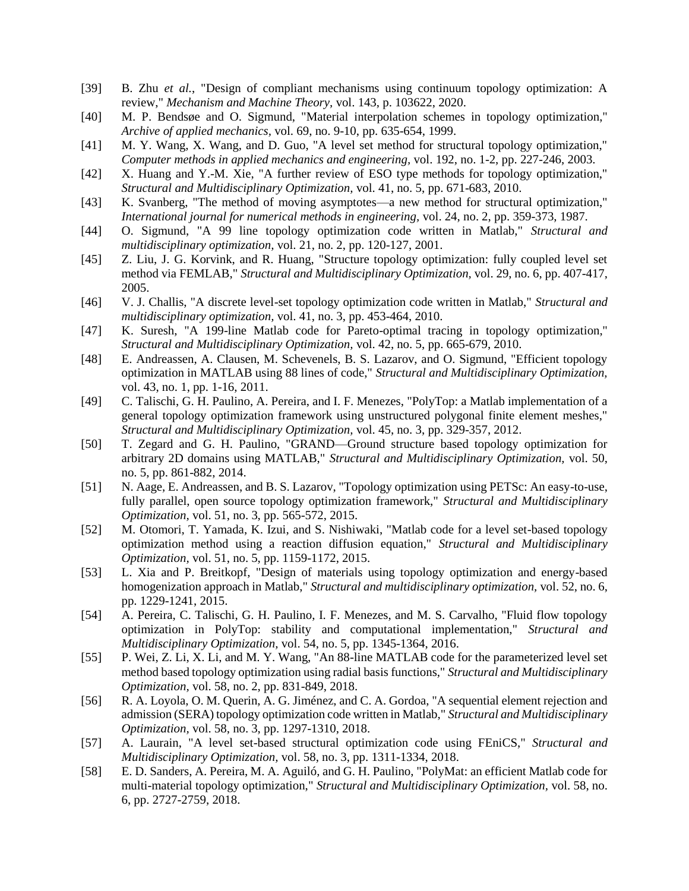- [39] B. Zhu *et al.*, "Design of compliant mechanisms using continuum topology optimization: A review," *Mechanism and Machine Theory,* vol. 143, p. 103622, 2020.
- [40] M. P. Bendsøe and O. Sigmund, "Material interpolation schemes in topology optimization," *Archive of applied mechanics,* vol. 69, no. 9-10, pp. 635-654, 1999.
- [41] M. Y. Wang, X. Wang, and D. Guo, "A level set method for structural topology optimization," *Computer methods in applied mechanics and engineering,* vol. 192, no. 1-2, pp. 227-246, 2003.
- [42] X. Huang and Y.-M. Xie, "A further review of ESO type methods for topology optimization," *Structural and Multidisciplinary Optimization,* vol. 41, no. 5, pp. 671-683, 2010.
- [43] K. Svanberg, "The method of moving asymptotes—a new method for structural optimization," *International journal for numerical methods in engineering,* vol. 24, no. 2, pp. 359-373, 1987.
- [44] O. Sigmund, "A 99 line topology optimization code written in Matlab," *Structural and multidisciplinary optimization,* vol. 21, no. 2, pp. 120-127, 2001.
- [45] Z. Liu, J. G. Korvink, and R. Huang, "Structure topology optimization: fully coupled level set method via FEMLAB," *Structural and Multidisciplinary Optimization,* vol. 29, no. 6, pp. 407-417, 2005.
- [46] V. J. Challis, "A discrete level-set topology optimization code written in Matlab," *Structural and multidisciplinary optimization,* vol. 41, no. 3, pp. 453-464, 2010.
- [47] K. Suresh, "A 199-line Matlab code for Pareto-optimal tracing in topology optimization," *Structural and Multidisciplinary Optimization,* vol. 42, no. 5, pp. 665-679, 2010.
- [48] E. Andreassen, A. Clausen, M. Schevenels, B. S. Lazarov, and O. Sigmund, "Efficient topology optimization in MATLAB using 88 lines of code," *Structural and Multidisciplinary Optimization,*  vol. 43, no. 1, pp. 1-16, 2011.
- [49] C. Talischi, G. H. Paulino, A. Pereira, and I. F. Menezes, "PolyTop: a Matlab implementation of a general topology optimization framework using unstructured polygonal finite element meshes," *Structural and Multidisciplinary Optimization,* vol. 45, no. 3, pp. 329-357, 2012.
- [50] T. Zegard and G. H. Paulino, "GRAND—Ground structure based topology optimization for arbitrary 2D domains using MATLAB," *Structural and Multidisciplinary Optimization,* vol. 50, no. 5, pp. 861-882, 2014.
- [51] N. Aage, E. Andreassen, and B. S. Lazarov, "Topology optimization using PETSc: An easy-to-use, fully parallel, open source topology optimization framework," *Structural and Multidisciplinary Optimization,* vol. 51, no. 3, pp. 565-572, 2015.
- [52] M. Otomori, T. Yamada, K. Izui, and S. Nishiwaki, "Matlab code for a level set-based topology optimization method using a reaction diffusion equation," *Structural and Multidisciplinary Optimization,* vol. 51, no. 5, pp. 1159-1172, 2015.
- [53] L. Xia and P. Breitkopf, "Design of materials using topology optimization and energy-based homogenization approach in Matlab," *Structural and multidisciplinary optimization,* vol. 52, no. 6, pp. 1229-1241, 2015.
- [54] A. Pereira, C. Talischi, G. H. Paulino, I. F. Menezes, and M. S. Carvalho, "Fluid flow topology optimization in PolyTop: stability and computational implementation," *Structural and Multidisciplinary Optimization,* vol. 54, no. 5, pp. 1345-1364, 2016.
- [55] P. Wei, Z. Li, X. Li, and M. Y. Wang, "An 88-line MATLAB code for the parameterized level set method based topology optimization using radial basis functions," *Structural and Multidisciplinary Optimization,* vol. 58, no. 2, pp. 831-849, 2018.
- [56] R. A. Loyola, O. M. Querin, A. G. Jiménez, and C. A. Gordoa, "A sequential element rejection and admission (SERA) topology optimization code written in Matlab," *Structural and Multidisciplinary Optimization,* vol. 58, no. 3, pp. 1297-1310, 2018.
- [57] A. Laurain, "A level set-based structural optimization code using FEniCS," *Structural and Multidisciplinary Optimization,* vol. 58, no. 3, pp. 1311-1334, 2018.
- [58] E. D. Sanders, A. Pereira, M. A. Aguiló, and G. H. Paulino, "PolyMat: an efficient Matlab code for multi-material topology optimization," *Structural and Multidisciplinary Optimization,* vol. 58, no. 6, pp. 2727-2759, 2018.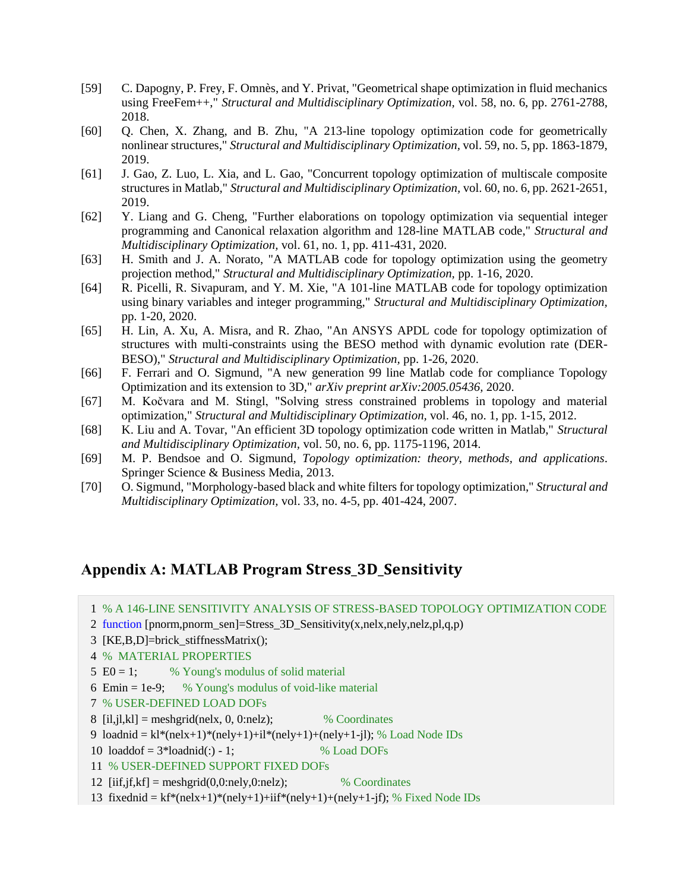- [59] C. Dapogny, P. Frey, F. Omnès, and Y. Privat, "Geometrical shape optimization in fluid mechanics using FreeFem++," *Structural and Multidisciplinary Optimization,* vol. 58, no. 6, pp. 2761-2788, 2018.
- [60] Q. Chen, X. Zhang, and B. Zhu, "A 213-line topology optimization code for geometrically nonlinear structures," *Structural and Multidisciplinary Optimization,* vol. 59, no. 5, pp. 1863-1879, 2019.
- [61] J. Gao, Z. Luo, L. Xia, and L. Gao, "Concurrent topology optimization of multiscale composite structures in Matlab," *Structural and Multidisciplinary Optimization,* vol. 60, no. 6, pp. 2621-2651, 2019.
- [62] Y. Liang and G. Cheng, "Further elaborations on topology optimization via sequential integer programming and Canonical relaxation algorithm and 128-line MATLAB code," *Structural and Multidisciplinary Optimization,* vol. 61, no. 1, pp. 411-431, 2020.
- [63] H. Smith and J. A. Norato, "A MATLAB code for topology optimization using the geometry projection method," *Structural and Multidisciplinary Optimization,* pp. 1-16, 2020.
- [64] R. Picelli, R. Sivapuram, and Y. M. Xie, "A 101-line MATLAB code for topology optimization using binary variables and integer programming," *Structural and Multidisciplinary Optimization,*  pp. 1-20, 2020.
- [65] H. Lin, A. Xu, A. Misra, and R. Zhao, "An ANSYS APDL code for topology optimization of structures with multi-constraints using the BESO method with dynamic evolution rate (DER-BESO)," *Structural and Multidisciplinary Optimization,* pp. 1-26, 2020.
- [66] F. Ferrari and O. Sigmund, "A new generation 99 line Matlab code for compliance Topology Optimization and its extension to 3D," *arXiv preprint arXiv:2005.05436,* 2020.
- [67] M. Kočvara and M. Stingl, "Solving stress constrained problems in topology and material optimization," *Structural and Multidisciplinary Optimization,* vol. 46, no. 1, pp. 1-15, 2012.
- [68] K. Liu and A. Tovar, "An efficient 3D topology optimization code written in Matlab," *Structural and Multidisciplinary Optimization,* vol. 50, no. 6, pp. 1175-1196, 2014.
- [69] M. P. Bendsoe and O. Sigmund, *Topology optimization: theory, methods, and applications*. Springer Science & Business Media, 2013.
- [70] O. Sigmund, "Morphology-based black and white filters for topology optimization," *Structural and Multidisciplinary Optimization,* vol. 33, no. 4-5, pp. 401-424, 2007.

# **Appendix A: MATLAB Program** \_\_

- 1 % A 146-LINE SENSITIVITY ANALYSIS OF STRESS-BASED TOPOLOGY OPTIMIZATION CODE
- 2 function [pnorm,pnorm\_sen]=Stress\_3D\_Sensitivity(x,nelx,nely,nelz,pl,q,p)
- 3 [KE,B,D]=brick\_stiffnessMatrix();
- 4 % MATERIAL PROPERTIES
- 5 E0 = 1;  $\%$  Young's modulus of solid material
- 6 Emin = 1e-9;  $\%$  Young's modulus of void-like material
- 7 % USER-DEFINED LOAD DOFs
- 8  $[i, j], k] =$  meshgrid(nelx, 0, 0:nelz); % Coordinates
- 9 loadnid =  $kl*(nelx+1)*(nely+1)+il*(nely+1)+(nely+1-i)$ ; % Load Node IDs

10  $load\text{dof} = 3 * load\text{d}(:) - 1;$  % Load DOFs

- 11 % USER-DEFINED SUPPORT FIXED DOFs
- 12  $[i, j, k] = \text{meshgrid}(0, 0 \text{ in } k]$ ; % Coordinates
- 13 fixednid =  $kf*(nelx+1)*(nely+1)+iif*(nely+1)+(nely+1-jf); % Fixed Node IDs$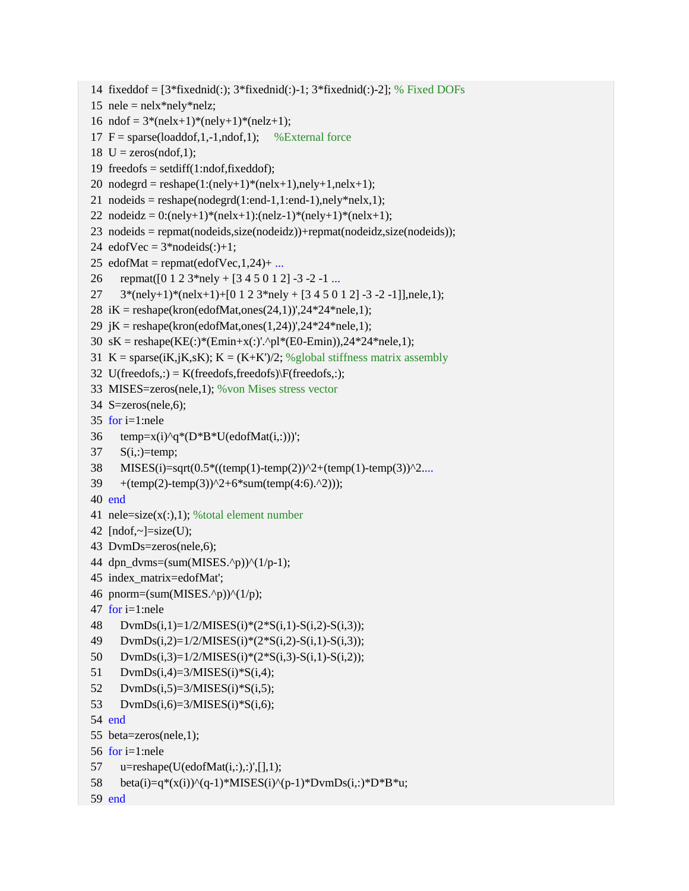```
14 fixeddof = [3*fixedmid(:); 3*fixedmid(:)-1; 3*fixedmid(:)-2]; % Fixed DOFs
15 nele = \text{nelx*}nely*nelz;
16 ndof = 3*(\text{nelx}+1)*(n\text{ely}+1)*(n\text{elz}+1);17 F = sparse(loaddof, 1, -1, ndof, 1); % External force
18 U = zeros(ndof,1);
19 freedofs = setdiff(1:ndof,fixeddof);
20 nodegrd = reshape(1:(\text{nelly}+1)*(n\text{el}x+1),\text{nel}y+1,\text{nel}x+1);21 nodeids = reshape(nodegrd(1:end-1,1:end-1),nely*nelx,1);
22 nodeidz = 0:(\text{nelly}+1)*(n\text{el}x+1):(\text{nel}z-1)*(n\text{el}y+1)*(n\text{el}x+1);23 nodeids = repmat(nodeids,size(nodeidz))+repmat(nodeidz,size(nodeids));
24 edofVec = 3*nodeids(:)+1;
25 edofMat = repmat(edofVec, 1,24)+ ...
26 repmat([0 1 2 3*nely + [3 4 5 0 1 2] -3 -2 -1 ...
27 3*(\text{nelly}+1)*(n\text{el}x+1)+(0\ 1\ 2\ 3* \text{nel}y+[3\ 4\ 5\ 0\ 1\ 2]-3\ -2\ -1]], nele, 1);
28 iK = reshape(kron(edofMat,ones(24,1))',24*24*nele,1);
29 jK = reshape(kron(edofMat,ones(1,24))',24*24*nele,1);
30 sK = reshape(KE(:)*(Emin+x(:)'.^pl*(E0-Emin)),24*24*nele,1);
31 K = sparse(iK,jK,sK); K = (K+K')/2; %global stiffness matrix assembly
32 U(freedofs,:) = K(freedofs,freedofs)\F(freedofs,:);
33 MISES=zeros(nele,1); %von Mises stress vector
34 S=zeros(nele,6); 
35 for i=1:nele
36 temp=x(i)^{n}q^{*}(D^{*}B^{*}U(\text{edofMat}(i,:)))';37 S(i,:)=temp;
38 MISES(i)=sqrt(0.5*((temp(1)-temp(2))^2+(temp(1)-temp(3))^2....
39 + (\text{temp}(2)\text{-temp}(3))^2 + 6*\text{sum}(\text{temp}(4:6).^2));
40 end
41 nele=size(x(:,1)); % total element number
42 [ndof,-]=size(U);43 DvmDs=zeros(nele,6);
44 dpn_dvms=(sum(MISES.^p))^(1/p-1);
45 index_matrix=edofMat';
46 pnorm=(sum(MISES.^p))^(1/p);
47 for i=1:nele
48 DvmDs(i,1)=1/2/MISES(i)*(2*S(i,1)-S(i,2)-S(i,3));
49 DvmDs(i,2)=1/2/MISES(i)*(2*S(i,2)-S(i,1)-S(i,3));
50 DvmDs(i,3)=1/2/MISES(i)*(2*S(i,3)-S(i,1)-S(i,2));
51 DvmDs(i,4)=3/MISES(i)*S(i,4);52 DymDs(i,5)=3/MISES(i)*S(i,5);53 DvmDs(i,6)=3/MISES(i)*S(i,6);54 end
55 beta=zeros(nele,1);
56 for i=1:nele
57 u=reshape(U(edofMat(i,:),:)',[],1);58 beta(i)=q*(x(i))^(q-1)*MISES(i)^(p-1)*DvmDs(i,:)*D*B*u;
59 end
```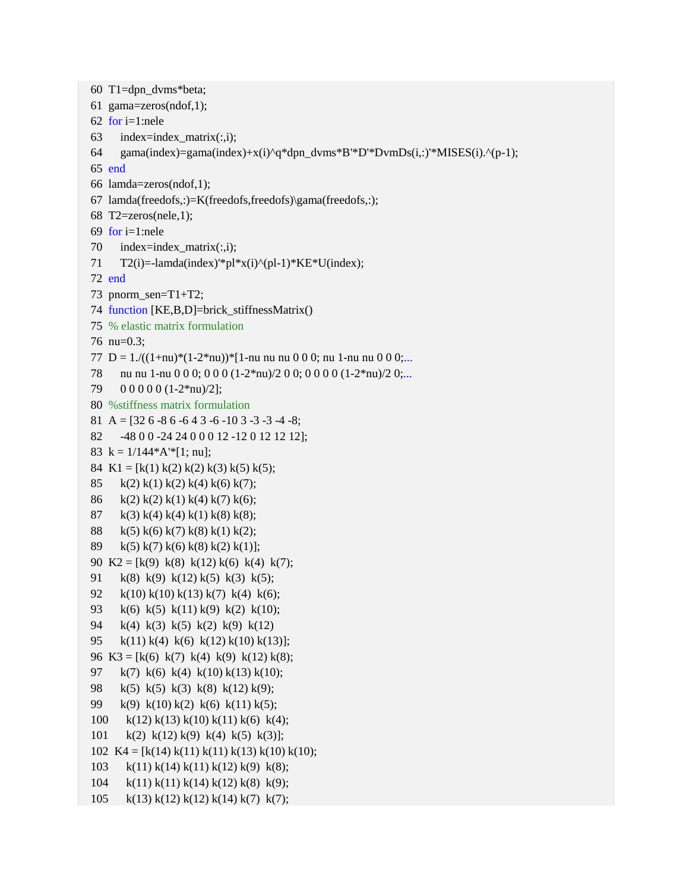60 T1=dpn\_dvms\*beta; 61 gama=zeros(ndof,1); 62 for i=1:nele 63 index=index matrix $(:,i);$ 64 gama(index)=gama(index)+x(i)^q\*dpn\_dvms\*B'\*D'\*DvmDs(i,:)'\*MISES(i).^(p-1); 65 end 66 lamda=zeros(ndof,1); 67 lamda(freedofs,:)=K(freedofs,freedofs)\gama(freedofs,:); 68 T2=zeros(nele,1); 69 for i=1:nele 70 index=index\_matrix(:,i); 71  $T2(i)$ =-lamda(index)'\*pl\*x(i)^(pl-1)\*KE\*U(index); 72 end 73 pnorm\_sen=T1+T2; 74 function [KE,B,D]=brick\_stiffnessMatrix() 75 % elastic matrix formulation 76 nu=0.3; 77 D =  $1/((1+nu)*(1-2*nu))*[1-nu nu nu 0 0 0; nu 1-nu nu 0 0 0;...$ 78 nu nu 1-nu 0 0 0; 0 0 0 (1-2\*nu)/2 0 0; 0 0 0 0 (1-2\*nu)/2 0;... 79 0 0 0 0 0 (1-2\*nu)/2]; 80 %stiffness matrix formulation 81 A =  $[32 6 - 8 6 - 6 4 3 - 6 - 10 3 - 3 - 3 - 4 - 8;$ 82 -48 0 0 -24 24 0 0 0 12 -12 0 12 12 12]; 83 k =  $1/144*A'*[1; nu];$ 84 K1 = [k(1) k(2) k(2) k(3) k(5) k(5); 85 k(2) k(1) k(2) k(4) k(6) k(7); 86 k(2) k(2) k(1) k(4) k(7) k(6); 87 k(3) k(4) k(4) k(1) k(8) k(8); 88 k(5) k(6) k(7) k(8) k(1) k(2); 89 k(5) k(7) k(6) k(8) k(2) k(1)]; 90 K2 = [k(9) k(8) k(12) k(6) k(4) k(7); 91 k(8) k(9) k(12) k(5) k(3) k(5); 92 k(10) k(10) k(13) k(7) k(4) k(6); 93 k(6) k(5) k(11) k(9) k(2) k(10); 94 k(4) k(3) k(5) k(2) k(9) k(12) 95 k(11) k(4) k(6) k(12) k(10) k(13)]; 96 K3 = [k(6) k(7) k(4) k(9) k(12) k(8); 97 k(7) k(6) k(4) k(10) k(13) k(10); 98 k(5) k(5) k(3) k(8) k(12) k(9); 99 k(9) k(10) k(2) k(6) k(11) k(5); 100 k(12) k(13) k(10) k(11) k(6) k(4); 101 k(2) k(12) k(9) k(4) k(5) k(3)]; 102 K4 = [k(14) k(11) k(11) k(13) k(10) k(10); 103 k(11) k(14) k(11) k(12) k(9) k(8); 104 k(11) k(11) k(14) k(12) k(8) k(9); 105 k(13) k(12) k(12) k(14) k(7) k(7);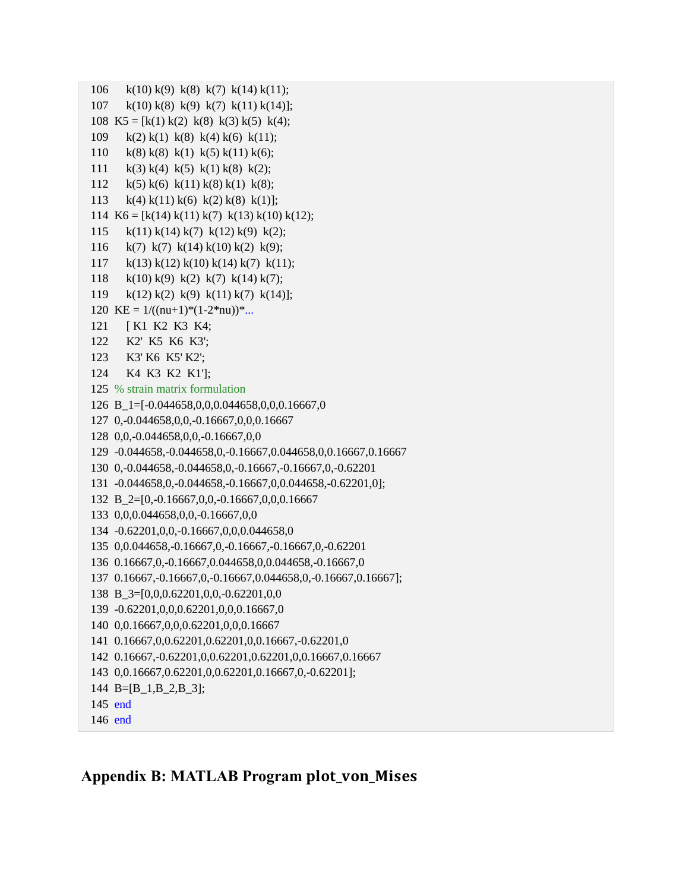```
106 k(10) k(9) k(8) k(7) k(14) k(11);
107 k(10) k(8) k(9) k(7) k(11) k(14)];
108 K5 = [k(1) k(2) k(8) k(3) k(5) k(4);
109 k(2) k(1) k(8) k(4) k(6) k(11);
110 k(8) k(8) k(1) k(5) k(11) k(6);
111 k(3) k(4) k(5) k(1) k(8) k(2);
112 k(5) k(6) k(11) k(8) k(1) k(8);113 k(4) k(11) k(6) k(2) k(8) k(1)];
114 K6 = [k(14) k(11) k(7) k(13) k(10) k(12);
115 k(11) k(14) k(7) k(12) k(9) k(2);
116 k(7) k(7) k(14) k(10) k(2) k(9);
117 k(13) k(12) k(10) k(14) k(7) k(11);
118 k(10) k(9) k(2) k(7) k(14) k(7);
119 k(12) k(2) k(9) k(11) k(7) k(14)];
120 KE = 1/((nu+1)*(1-2*nu))*...121 [ K1 K2 K3 K4;
122 K2' K5 K6 K3';
123 K3' K6 K5' K2';
124 K4 K3 K2 K1'];
125 % strain matrix formulation
126 B_1=[-0.044658,0,0,0.044658,0,0,0.16667,0
127 0,-0.044658,0,0,-0.16667,0,0,0.16667
128 0,0,-0.044658,0,0,-0.16667,0,0
129 -0.044658,-0.044658,0,-0.16667,0.044658,0,0.16667,0.16667
130 0,-0.044658,-0.044658,0,-0.16667,-0.16667,0,-0.62201
131 -0.044658,0,-0.044658,-0.16667,0,0.044658,-0.62201,0];
132 B_2=[0,-0.16667,0,0,-0.16667,0,0,0.16667
133 0,0,0.044658,0,0,-0.16667,0,0
134 -0.62201,0,0,-0.16667,0,0,0.044658,0
135 0,0.044658,-0.16667,0,-0.16667,-0.16667,0,-0.62201
136 0.16667,0,-0.16667,0.044658,0,0.044658,-0.16667,0
137 0.16667,-0.16667,0,-0.16667,0.044658,0,-0.16667,0.16667];
138 B_3=[0,0,0.62201,0,0,-0.62201,0,0
139 -0.62201,0,0,0.62201,0,0,0.16667,0
140 0,0.16667,0,0,0.62201,0,0,0.16667
141 0.16667,0,0.62201,0.62201,0,0.16667,-0.62201,0
142 0.16667,-0.62201,0,0.62201,0.62201,0,0.16667,0.16667
143 0,0.16667,0.62201,0,0.62201,0.16667,0,-0.62201];
144 B=[B_1,B_2,B_3];
145 end
146 end
```
# **Appendix B: MATLAB Program plot\_von\_Mises**